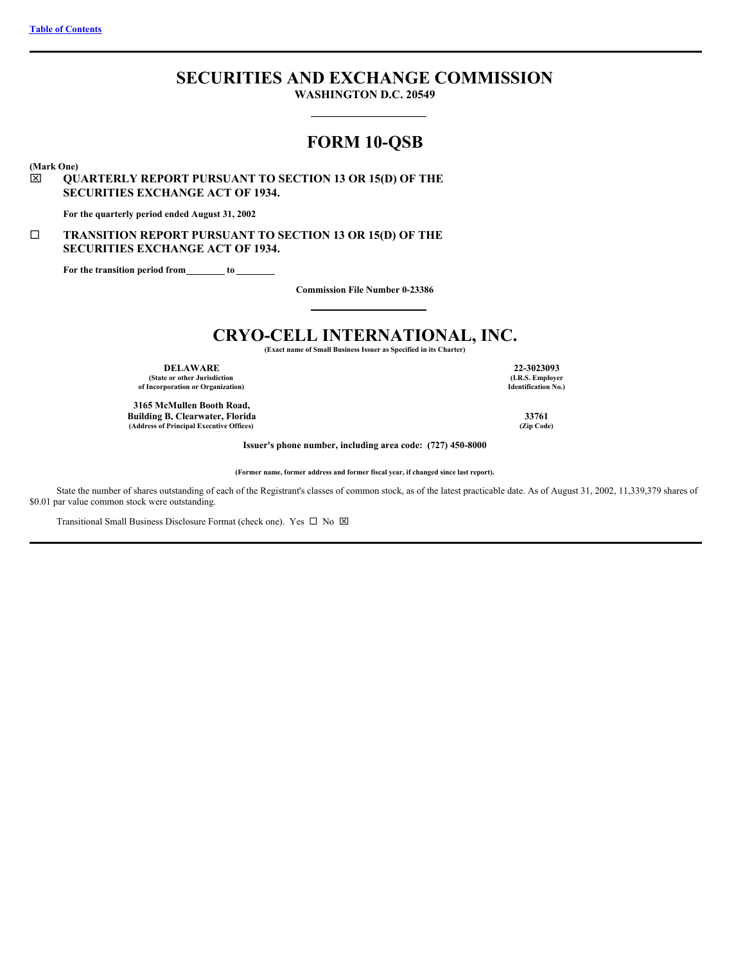# **SECURITIES AND EXCHANGE COMMISSION**

**WASHINGTON D.C. 20549**

# **FORM 10-QSB**

**(Mark One)**

# x **QUARTERLY REPORT PURSUANT TO SECTION 13 OR 15(D) OF THE SECURITIES EXCHANGE ACT OF 1934.**

**For the quarterly period ended August 31, 2002**

# ¨ **TRANSITION REPORT PURSUANT TO SECTION 13 OR 15(D) OF THE SECURITIES EXCHANGE ACT OF 1934.**

**For the transition period from to**

**Commission File Number 0-23386**

# **CRYO-CELL INTERNATIONAL, INC.**

**(Exact name of Small Business Issuer as Specified in its Charter)**

**DELAWARE 22-3023093 (State or other Jurisdiction of Incorporation or Organization)**

**3165 McMullen Booth Road, Building B, Clearwater, Florida 33761**  $(Address of Principal Executive Office)$ 

**(I.R.S. Employer Identification No.)**

**Issuer's phone number, including area code: (727) 450-8000**

**(Former name, former address and former fiscal year, if changed since last report).**

State the number of shares outstanding of each of the Registrant's classes of common stock, as of the latest practicable date. As of August 31, 2002, 11,339,379 shares of \$0.01 par value common stock were outstanding.

Transitional Small Business Disclosure Format (check one). Yes  $\Box$  No  $\boxtimes$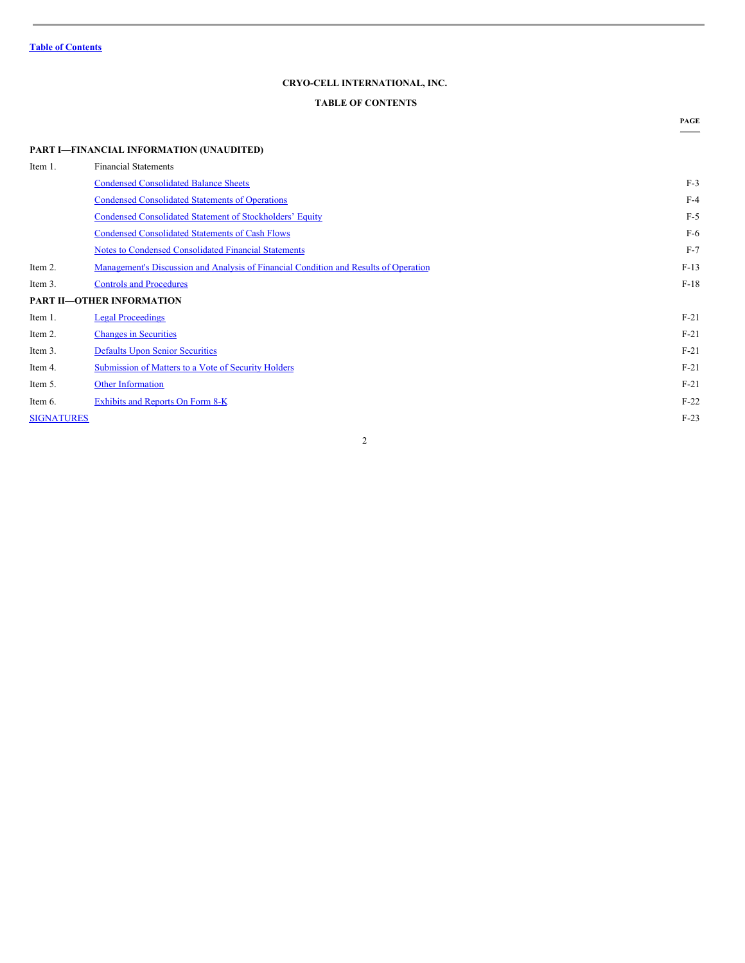# **CRYO-CELL INTERNATIONAL, INC.**

# <span id="page-1-0"></span>**TABLE OF CONTENTS**

**PAGE**

| Item 1.           | <b>Financial Statements</b>                                                          |        |
|-------------------|--------------------------------------------------------------------------------------|--------|
|                   | <b>Condensed Consolidated Balance Sheets</b>                                         | $F-3$  |
|                   | <b>Condensed Consolidated Statements of Operations</b>                               | $F-4$  |
|                   | Condensed Consolidated Statement of Stockholders' Equity                             | $F-5$  |
|                   | <b>Condensed Consolidated Statements of Cash Flows</b>                               | $F-6$  |
|                   | Notes to Condensed Consolidated Financial Statements                                 | $F-7$  |
| Item 2.           | Management's Discussion and Analysis of Financial Condition and Results of Operation | $F-13$ |
| Item 3.           | <b>Controls and Procedures</b>                                                       | $F-18$ |
|                   | <b>PART II-OTHER INFORMATION</b>                                                     |        |
| Item 1.           | <b>Legal Proceedings</b>                                                             | $F-21$ |
| Item 2.           | <b>Changes in Securities</b>                                                         | $F-21$ |
| Item 3.           | <b>Defaults Upon Senior Securities</b>                                               | $F-21$ |
| Item 4.           | <b>Submission of Matters to a Vote of Security Holders</b>                           | $F-21$ |
| Item 5.           | <b>Other Information</b>                                                             | $F-21$ |
| Item 6.           | <b>Exhibits and Reports On Form 8-K</b>                                              | $F-22$ |
| <b>SIGNATURES</b> |                                                                                      | $F-23$ |
|                   |                                                                                      |        |

2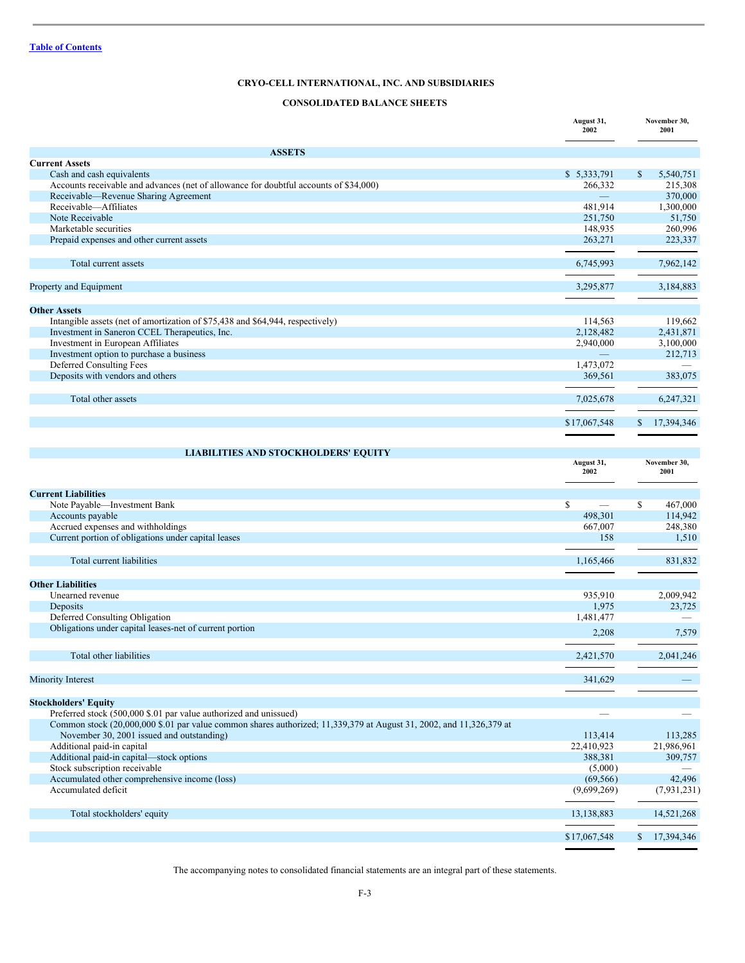# <span id="page-2-0"></span>**CONSOLIDATED BALANCE SHEETS**

|                                                                                                                                                                  | August 31,<br>2002       | November 30,<br>2001 |
|------------------------------------------------------------------------------------------------------------------------------------------------------------------|--------------------------|----------------------|
| <b>ASSETS</b>                                                                                                                                                    |                          |                      |
| <b>Current Assets</b>                                                                                                                                            |                          |                      |
| Cash and cash equivalents                                                                                                                                        | \$5,333,791              | \$<br>5,540,751      |
| Accounts receivable and advances (net of allowance for doubtful accounts of \$34,000)                                                                            | 266,332                  | 215,308              |
| Receivable—Revenue Sharing Agreement                                                                                                                             | $\overline{\phantom{0}}$ | 370,000              |
| Receivable-Affiliates                                                                                                                                            | 481,914                  | 1,300,000            |
| Note Receivable                                                                                                                                                  | 251,750                  | 51,750               |
| Marketable securities                                                                                                                                            | 148,935                  | 260,996              |
| Prepaid expenses and other current assets                                                                                                                        | 263,271                  | 223,337              |
| Total current assets                                                                                                                                             | 6,745,993                | 7,962,142            |
| Property and Equipment                                                                                                                                           | 3.295.877                | 3,184,883            |
|                                                                                                                                                                  |                          |                      |
| <b>Other Assets</b>                                                                                                                                              |                          |                      |
| Intangible assets (net of amortization of \$75,438 and \$64,944, respectively)                                                                                   | 114,563                  | 119,662              |
| Investment in Saneron CCEL Therapeutics, Inc.                                                                                                                    | 2,128,482                | 2,431,871            |
| Investment in European Affiliates                                                                                                                                | 2,940,000                | 3,100,000            |
| Investment option to purchase a business                                                                                                                         |                          | 212,713              |
| Deferred Consulting Fees                                                                                                                                         | 1,473,072                |                      |
| Deposits with vendors and others                                                                                                                                 | 369,561                  | 383,075              |
| Total other assets                                                                                                                                               | 7,025,678                | 6,247,321            |
|                                                                                                                                                                  | \$17,067,548             | 17,394,346           |
|                                                                                                                                                                  |                          |                      |
| <b>LIABILITIES AND STOCKHOLDERS' EQUITY</b>                                                                                                                      |                          |                      |
|                                                                                                                                                                  | August 31,<br>2002       | November 30,<br>2001 |
| <b>Current Liabilities</b>                                                                                                                                       |                          |                      |
| Note Payable-Investment Bank                                                                                                                                     | $\mathbb{S}$             | \$<br>467,000        |
| Accounts payable                                                                                                                                                 | 498,301                  | 114,942              |
| Accrued expenses and withholdings                                                                                                                                | 667,007                  | 248,380              |
| Current portion of obligations under capital leases                                                                                                              | 158                      | 1,510                |
|                                                                                                                                                                  |                          |                      |
| Total current liabilities                                                                                                                                        | 1,165,466                | 831,832              |
|                                                                                                                                                                  |                          |                      |
| <b>Other Liabilities</b>                                                                                                                                         |                          |                      |
| Unearned revenue                                                                                                                                                 | 935,910                  | 2,009,942            |
| Deposits                                                                                                                                                         | 1,975                    | 23,725               |
| Deferred Consulting Obligation                                                                                                                                   | 1,481,477                |                      |
| Obligations under capital leases-net of current portion                                                                                                          | 2,208                    | 7,579                |
|                                                                                                                                                                  |                          |                      |
| Total other liabilities                                                                                                                                          | 2,421,570                | 2,041,246            |
| Minority Interest                                                                                                                                                | 341,629                  |                      |
| <b>Stockholders' Equity</b>                                                                                                                                      |                          |                      |
| Preferred stock (500,000 \$.01 par value authorized and unissued)                                                                                                |                          |                      |
| Common stock (20,000,000 \$.01 par value common shares authorized; 11,339,379 at August 31, 2002, and 11,326,379 at<br>November 30, 2001 issued and outstanding) | 113,414                  | 113,285              |
| Additional paid-in capital                                                                                                                                       | 22,410,923               | 21,986,961           |
|                                                                                                                                                                  | 388,381                  | 309,757              |
| Additional paid-in capital-stock options<br>Stock subscription receivable                                                                                        | (5,000)                  |                      |
| Accumulated other comprehensive income (loss)                                                                                                                    | (69, 566)                | 42,496               |
| Accumulated deficit                                                                                                                                              | (9,699,269)              | (7, 931, 231)        |
|                                                                                                                                                                  |                          |                      |
| Total stockholders' equity                                                                                                                                       | 13,138,883               | 14,521,268           |
|                                                                                                                                                                  | \$17,067,548             | \$17,394,346         |

The accompanying notes to consolidated financial statements are an integral part of these statements.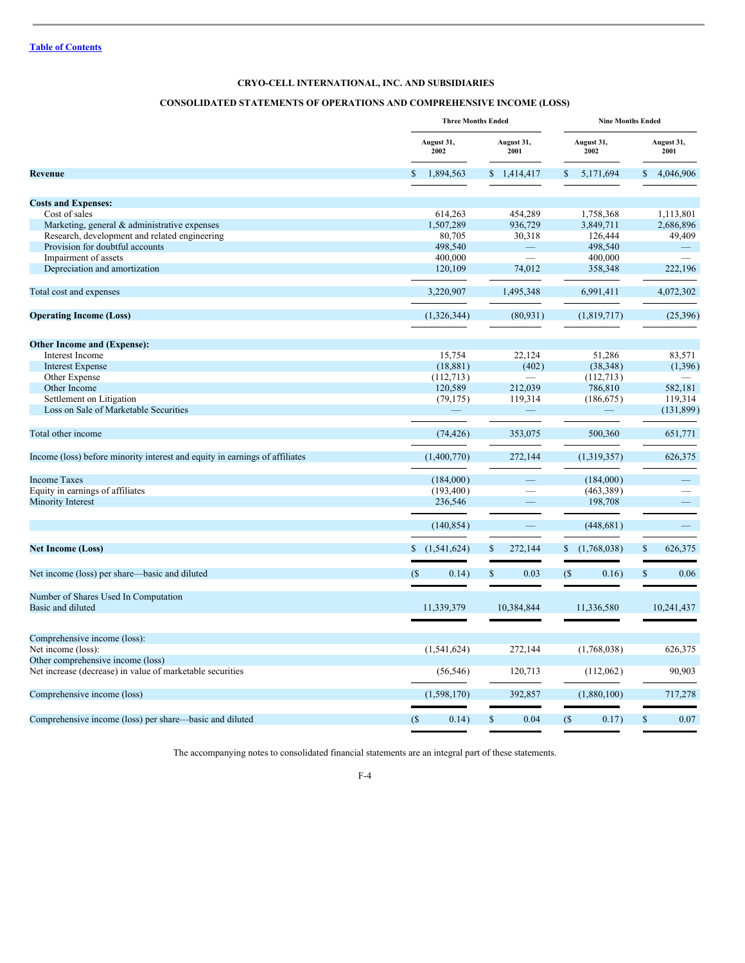# <span id="page-3-0"></span>**CONSOLIDATED STATEMENTS OF OPERATIONS AND COMPREHENSIVE INCOME (LOSS)**

|                                                                             | <b>Three Months Ended</b>                |               |                    | <b>Nine Months Ended</b> |                    |             |               |                          |
|-----------------------------------------------------------------------------|------------------------------------------|---------------|--------------------|--------------------------|--------------------|-------------|---------------|--------------------------|
|                                                                             | August 31,<br>August 31,<br>2001<br>2002 |               | August 31,<br>2002 |                          | August 31,<br>2001 |             |               |                          |
| <b>Revenue</b>                                                              |                                          | 1,894,563     |                    | \$1,414,417              | \$.                | 5,171,694   | \$            | 4,046,906                |
| <b>Costs and Expenses:</b>                                                  |                                          |               |                    |                          |                    |             |               |                          |
| Cost of sales                                                               |                                          | 614,263       |                    | 454,289                  |                    | 1,758,368   |               | 1,113,801                |
| Marketing, general & administrative expenses                                |                                          | 1,507,289     |                    | 936,729                  |                    | 3,849,711   |               | 2,686,896                |
| Research, development and related engineering                               |                                          | 80,705        |                    | 30,318                   |                    | 126,444     |               | 49,409                   |
| Provision for doubtful accounts                                             |                                          | 498,540       |                    |                          |                    | 498,540     |               |                          |
| Impairment of assets                                                        |                                          | 400,000       |                    |                          |                    | 400,000     |               |                          |
| Depreciation and amortization                                               |                                          | 120,109       |                    | 74,012                   |                    | 358,348     |               | 222,196                  |
|                                                                             |                                          |               |                    |                          |                    |             |               |                          |
| Total cost and expenses                                                     |                                          | 3,220,907     |                    | 1,495,348                |                    | 6,991,411   |               | 4,072,302                |
| <b>Operating Income (Loss)</b>                                              |                                          | (1,326,344)   |                    | (80, 931)                |                    | (1,819,717) |               | (25,396)                 |
|                                                                             |                                          |               |                    |                          |                    |             |               |                          |
| <b>Other Income and (Expense):</b>                                          |                                          |               |                    |                          |                    |             |               |                          |
| Interest Income                                                             |                                          | 15,754        |                    | 22,124                   |                    | 51,286      |               | 83,571                   |
| <b>Interest Expense</b>                                                     |                                          | (18, 881)     |                    | (402)                    |                    | (38, 348)   |               | (1,396)                  |
| Other Expense                                                               |                                          | (112,713)     |                    | $\overline{\phantom{a}}$ |                    | (112,713)   |               |                          |
| Other Income                                                                |                                          | 120,589       |                    | 212,039                  |                    | 786,810     |               | 582,181                  |
| Settlement on Litigation                                                    |                                          | (79, 175)     |                    | 119,314                  |                    | (186, 675)  |               | 119,314                  |
| Loss on Sale of Marketable Securities                                       |                                          |               |                    |                          |                    |             |               | (131, 899)               |
|                                                                             |                                          |               |                    |                          |                    |             |               |                          |
| Total other income                                                          |                                          | (74, 426)     |                    | 353,075                  |                    | 500,360     |               | 651,771                  |
| Income (loss) before minority interest and equity in earnings of affiliates |                                          | (1,400,770)   |                    | 272,144                  |                    | (1,319,357) |               | 626,375                  |
| <b>Income Taxes</b>                                                         |                                          | (184,000)     |                    | —                        |                    | (184,000)   |               | $\overline{\phantom{0}}$ |
| Equity in earnings of affiliates                                            |                                          | (193, 400)    |                    |                          |                    | (463, 389)  |               |                          |
| Minority Interest                                                           |                                          | 236,546       |                    |                          |                    | 198,708     |               |                          |
|                                                                             |                                          | (140, 854)    |                    |                          |                    | (448, 681)  |               | $\overline{\phantom{0}}$ |
| <b>Net Income (Loss)</b>                                                    | \$                                       | (1, 541, 624) | $\mathbf S$        | 272,144                  |                    | (1,768,038) | $\$$          | 626,375                  |
|                                                                             |                                          |               |                    |                          |                    |             |               |                          |
| Net income (loss) per share—basic and diluted                               | (S)                                      | 0.14)         | $\mathbb{S}$       | 0.03                     | $($ \$             | 0.16)       | $\mathsf{\$}$ | 0.06                     |
| Number of Shares Used In Computation                                        |                                          |               |                    |                          |                    |             |               |                          |
| Basic and diluted                                                           |                                          | 11,339,379    |                    | 10,384,844               |                    | 11,336,580  |               | 10,241,437               |
| Comprehensive income (loss):                                                |                                          |               |                    |                          |                    |             |               |                          |
| Net income (loss):                                                          |                                          | (1, 541, 624) |                    | 272,144                  |                    | (1,768,038) |               | 626,375                  |
| Other comprehensive income (loss)                                           |                                          |               |                    |                          |                    |             |               |                          |
| Net increase (decrease) in value of marketable securities                   |                                          | (56, 546)     |                    | 120,713                  |                    | (112,062)   |               | 90,903                   |
| Comprehensive income (loss)                                                 |                                          | (1,598,170)   |                    | 392,857                  |                    | (1,880,100) |               | 717,278                  |
|                                                                             |                                          |               |                    |                          |                    |             |               |                          |
| Comprehensive income (loss) per share—basic and diluted                     | $($ \$                                   | 0.14)         | $\mathbb{S}$       | 0.04                     | (S)                | 0.17)       | \$            | 0.07                     |

The accompanying notes to consolidated financial statements are an integral part of these statements.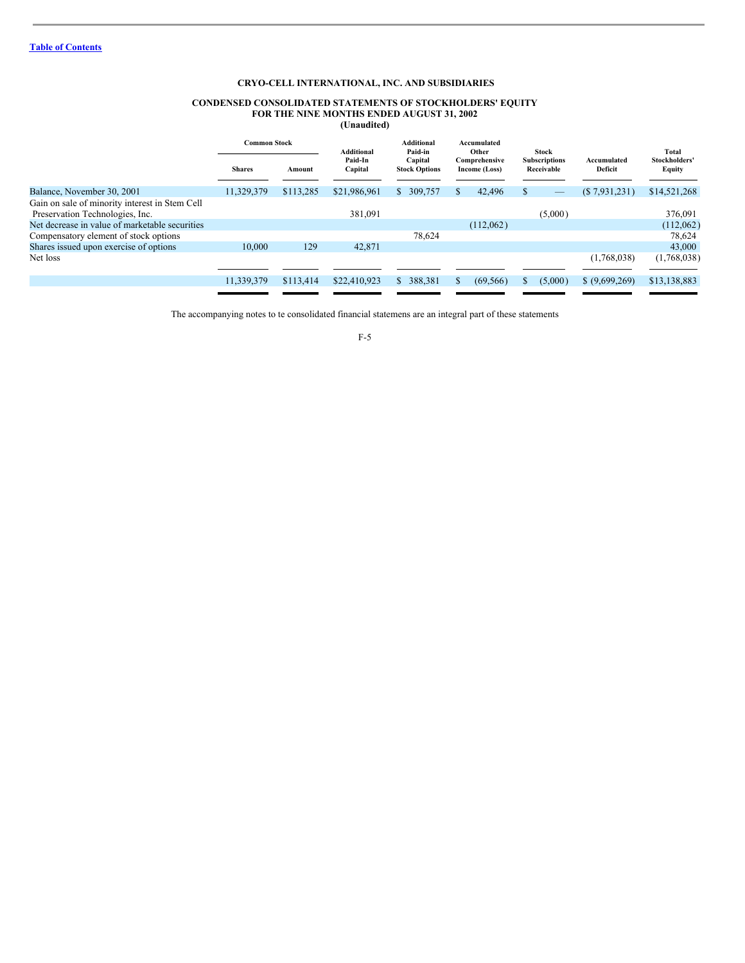#### <span id="page-4-0"></span>**CONDENSED CONSOLIDATED STATEMENTS OF STOCKHOLDERS' EQUITY FOR THE NINE MONTHS ENDED AUGUST 31, 2002 (Unaudited)**

|                                                | <b>Common Stock</b> |           | Additional         | <b>Additional</b><br>Paid-in    |  | Accumulated<br>Other           |   | Stock                              |                        | Total                   |
|------------------------------------------------|---------------------|-----------|--------------------|---------------------------------|--|--------------------------------|---|------------------------------------|------------------------|-------------------------|
|                                                | <b>Shares</b>       | Amount    | Paid-In<br>Capital | Capital<br><b>Stock Options</b> |  | Comprehensive<br>Income (Loss) |   | <b>Subscriptions</b><br>Receivable | Accumulated<br>Deficit | Stockholders'<br>Equity |
| Balance, November 30, 2001                     | 11,329,379          | \$113,285 | \$21,986,961       | 309,757<br>S.                   |  | 42,496                         |   |                                    | $(\$7,931,231)$        | \$14,521,268            |
| Gain on sale of minority interest in Stem Cell |                     |           |                    |                                 |  |                                |   |                                    |                        |                         |
| Preservation Technologies, Inc.                |                     |           | 381,091            |                                 |  |                                |   | (5,000)                            |                        | 376,091                 |
| Net decrease in value of marketable securities |                     |           |                    |                                 |  | (112,062)                      |   |                                    |                        | (112,062)               |
| Compensatory element of stock options          |                     |           |                    | 78,624                          |  |                                |   |                                    |                        | 78,624                  |
| Shares issued upon exercise of options         | 10.000              | 129       | 42,871             |                                 |  |                                |   |                                    |                        | 43,000                  |
| Net loss                                       |                     |           |                    |                                 |  |                                |   |                                    | (1,768,038)            | (1,768,038)             |
|                                                |                     |           |                    |                                 |  |                                |   |                                    |                        |                         |
|                                                | 11,339,379          | \$113,414 | \$22,410,923       | 388,381<br>S.                   |  | (69, 566)                      | S | (5,000)                            | \$ (9,699,269)         | \$13,138,883            |
|                                                |                     |           |                    |                                 |  |                                |   |                                    |                        |                         |

The accompanying notes to te consolidated financial statemens are an integral part of these statements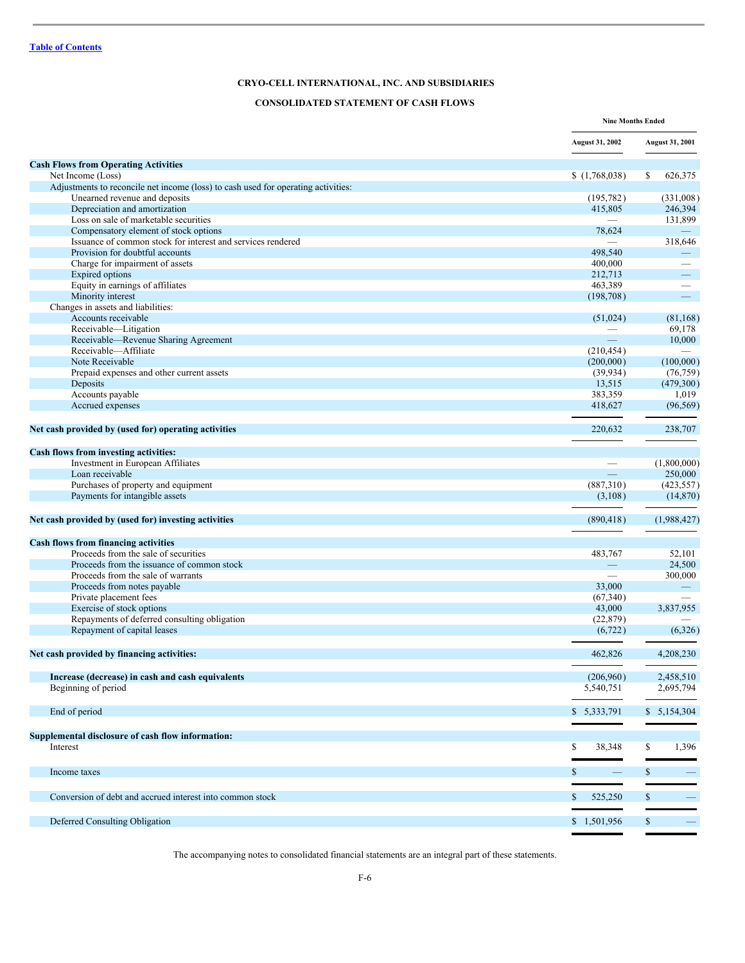# <span id="page-5-0"></span>**CONSOLIDATED STATEMENT OF CASH FLOWS**

|                                                                                   |                          | <b>Nine Months Ended</b>        |
|-----------------------------------------------------------------------------------|--------------------------|---------------------------------|
|                                                                                   | <b>August 31, 2002</b>   | <b>August 31, 2001</b>          |
| <b>Cash Flows from Operating Activities</b>                                       |                          |                                 |
| Net Income (Loss)                                                                 | (1,768,038)              | 626,375<br>S.                   |
| Adjustments to reconcile net income (loss) to cash used for operating activities: |                          |                                 |
| Unearned revenue and deposits                                                     | (195, 782)               | (331,008)                       |
| Depreciation and amortization                                                     | 415,805                  | 246,394                         |
| Loss on sale of marketable securities                                             |                          | 131,899                         |
| Compensatory element of stock options                                             | 78,624                   |                                 |
| Issuance of common stock for interest and services rendered                       |                          | 318,646                         |
| Provision for doubtful accounts                                                   | 498,540                  | $\overline{\phantom{0}}$        |
| Charge for impairment of assets                                                   | 400,000                  |                                 |
| <b>Expired options</b>                                                            | 212,713                  | $\qquad \qquad -$               |
| Equity in earnings of affiliates                                                  | 463,389                  | $\overbrace{\qquad \qquad }^{}$ |
| Minority interest                                                                 | (198, 708)               | $\qquad \qquad -$               |
| Changes in assets and liabilities:                                                |                          |                                 |
| Accounts receivable                                                               | (51,024)                 | (81, 168)                       |
| Receivable-Litigation                                                             |                          | 69,178                          |
| Receivable—Revenue Sharing Agreement                                              | $=$                      | 10,000                          |
| Receivable-Affiliate                                                              | (210, 454)               |                                 |
| Note Receivable                                                                   | (200,000)                | (100,000)                       |
| Prepaid expenses and other current assets                                         | (39, 934)                | (76, 759)                       |
| Deposits                                                                          | 13,515                   | (479,300)                       |
| Accounts payable                                                                  | 383,359                  | 1,019                           |
| Accrued expenses                                                                  | 418,627                  | (96, 569)                       |
|                                                                                   |                          |                                 |
| Net cash provided by (used for) operating activities                              | 220,632                  | 238,707                         |
|                                                                                   |                          |                                 |
| Cash flows from investing activities:                                             |                          |                                 |
| Investment in European Affiliates                                                 |                          | (1,800,000)                     |
| Loan receivable                                                                   | $\equiv$                 | 250,000                         |
| Purchases of property and equipment                                               | (887,310)                | (423, 557)                      |
| Payments for intangible assets                                                    |                          | (14, 870)                       |
|                                                                                   | (3,108)                  |                                 |
| Net cash provided by (used for) investing activities                              | (890, 418)               | (1,988,427)                     |
|                                                                                   |                          |                                 |
| <b>Cash flows from financing activities</b>                                       |                          |                                 |
| Proceeds from the sale of securities                                              | 483,767                  | 52,101                          |
| Proceeds from the issuance of common stock                                        |                          | 24,500                          |
| Proceeds from the sale of warrants                                                | $\overline{\phantom{0}}$ | 300,000                         |
| Proceeds from notes payable                                                       | 33,000                   |                                 |
| Private placement fees                                                            | (67,340)                 |                                 |
| Exercise of stock options                                                         | 43,000                   | 3,837,955                       |
| Repayments of deferred consulting obligation                                      | (22, 879)                |                                 |
| Repayment of capital leases                                                       | (6, 722)                 | (6,326)                         |
| Net cash provided by financing activities:                                        | 462,826                  | 4,208,230                       |
|                                                                                   |                          |                                 |
| Increase (decrease) in cash and cash equivalents                                  | (206,960)                | 2,458,510                       |
| Beginning of period                                                               | 5,540,751                | 2,695,794                       |
|                                                                                   |                          |                                 |
| End of period                                                                     | \$ 5,333,791             | \$5,154,304                     |
|                                                                                   |                          |                                 |
| Supplemental disclosure of cash flow information:                                 |                          |                                 |
| Interest                                                                          | \$<br>38,348             | \$<br>1,396                     |
|                                                                                   |                          |                                 |
| Income taxes                                                                      | $\mathbb{S}$             | \$                              |
|                                                                                   |                          |                                 |
| Conversion of debt and accrued interest into common stock                         | 525,250<br>\$            | \$                              |
|                                                                                   |                          |                                 |
| Deferred Consulting Obligation                                                    | \$1,501,956              | \$<br>$\qquad \qquad -$         |

The accompanying notes to consolidated financial statements are an integral part of these statements.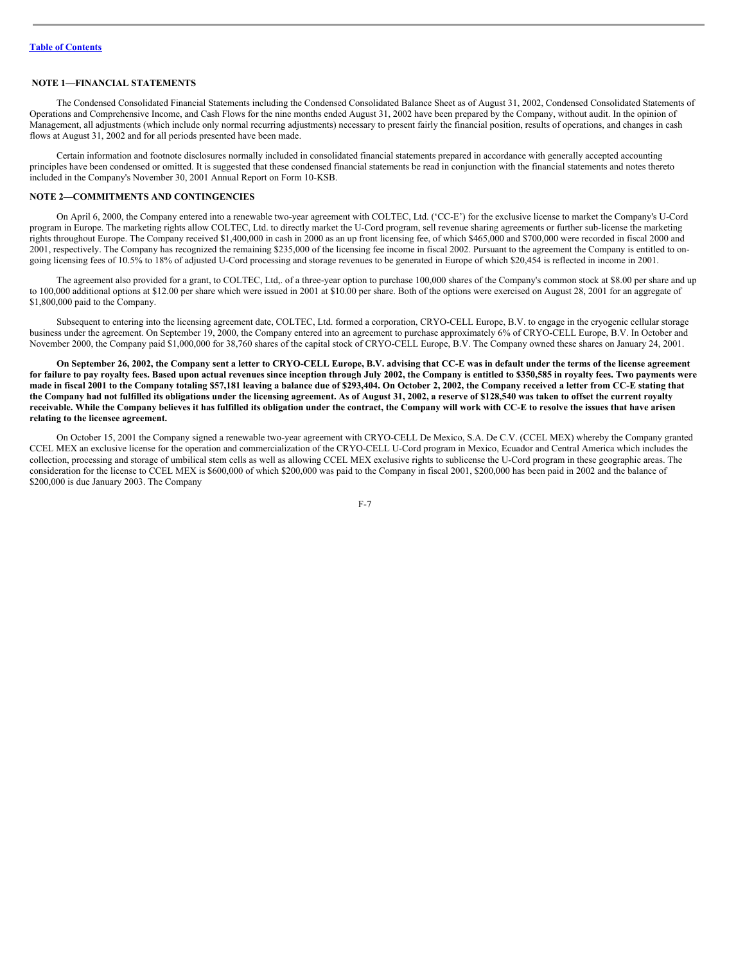## <span id="page-6-0"></span>**NOTE 1—FINANCIAL STATEMENTS**

The Condensed Consolidated Financial Statements including the Condensed Consolidated Balance Sheet as of August 31, 2002, Condensed Consolidated Statements of Operations and Comprehensive Income, and Cash Flows for the nine months ended August 31, 2002 have been prepared by the Company, without audit. In the opinion of Management, all adjustments (which include only normal recurring adjustments) necessary to present fairly the financial position, results of operations, and changes in cash flows at August 31, 2002 and for all periods presented have been made.

Certain information and footnote disclosures normally included in consolidated financial statements prepared in accordance with generally accepted accounting principles have been condensed or omitted. It is suggested that these condensed financial statements be read in conjunction with the financial statements and notes thereto included in the Company's November 30, 2001 Annual Report on Form 10-KSB.

#### **NOTE 2—COMMITMENTS AND CONTINGENCIES**

On April 6, 2000, the Company entered into a renewable two-year agreement with COLTEC, Ltd. ('CC-E') for the exclusive license to market the Company's U-Cord program in Europe. The marketing rights allow COLTEC, Ltd. to directly market the U-Cord program, sell revenue sharing agreements or further sub-license the marketing rights throughout Europe. The Company received \$1,400,000 in cash in 2000 as an up front licensing fee, of which \$465,000 and \$700,000 were recorded in fiscal 2000 and 2001, respectively. The Company has recognized the remaining \$235,000 of the licensing fee income in fiscal 2002. Pursuant to the agreement the Company is entitled to ongoing licensing fees of 10.5% to 18% of adjusted U-Cord processing and storage revenues to be generated in Europe of which \$20,454 is reflected in income in 2001.

The agreement also provided for a grant, to COLTEC, Ltd,. of a three-year option to purchase 100,000 shares of the Company's common stock at \$8.00 per share and up to 100,000 additional options at \$12.00 per share which were issued in 2001 at \$10.00 per share. Both of the options were exercised on August 28, 2001 for an aggregate of \$1,800,000 paid to the Company.

Subsequent to entering into the licensing agreement date, COLTEC, Ltd. formed a corporation, CRYO-CELL Europe, B.V. to engage in the cryogenic cellular storage business under the agreement. On September 19, 2000, the Company entered into an agreement to purchase approximately 6% of CRYO-CELL Europe, B.V. In October and November 2000, the Company paid \$1,000,000 for 38,760 shares of the capital stock of CRYO-CELL Europe, B.V. The Company owned these shares on January 24, 2001.

On September 26, 2002, the Company sent a letter to CRYO-CELL Europe, B.V. advising that CC-E was in default under the terms of the license agreement for failure to pay royalty fees. Based upon actual revenues since inception through July 2002, the Company is entitled to \$350,585 in royalty fees. Two payments were made in fiscal 2001 to the Company totaling \$57,181 leaving a balance due of \$293,404. On October 2, 2002, the Company received a letter from CC-E stating that the Company had not fulfilled its obligations under the licensing agreement. As of August 31, 2002, a reserve of \$128,540 was taken to offset the current royalty receivable. While the Company believes it has fulfilled its obligation under the contract, the Company will work with CC-E to resolve the issues that have arisen **relating to the licensee agreement.**

On October 15, 2001 the Company signed a renewable two-year agreement with CRYO-CELL De Mexico, S.A. De C.V. (CCEL MEX) whereby the Company granted CCEL MEX an exclusive license for the operation and commercialization of the CRYO-CELL U-Cord program in Mexico, Ecuador and Central America which includes the collection, processing and storage of umbilical stem cells as well as allowing CCEL MEX exclusive rights to sublicense the U-Cord program in these geographic areas. The consideration for the license to CCEL MEX is \$600,000 of which \$200,000 was paid to the Company in fiscal 2001, \$200,000 has been paid in 2002 and the balance of \$200,000 is due January 2003. The Company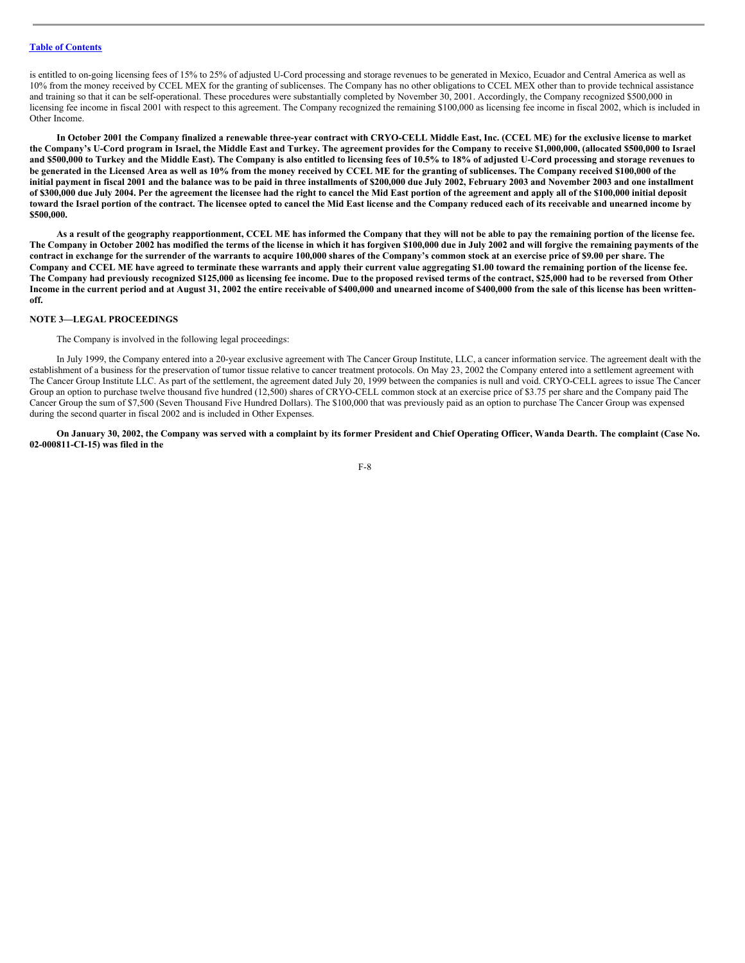# **Table of [Contents](#page-1-0)**

is entitled to on-going licensing fees of 15% to 25% of adjusted U-Cord processing and storage revenues to be generated in Mexico, Ecuador and Central America as well as 10% from the money received by CCEL MEX for the granting of sublicenses. The Company has no other obligations to CCEL MEX other than to provide technical assistance and training so that it can be self-operational. These procedures were substantially completed by November 30, 2001. Accordingly, the Company recognized \$500,000 in licensing fee income in fiscal 2001 with respect to this agreement. The Company recognized the remaining \$100,000 as licensing fee income in fiscal 2002, which is included in Other Income.

In October 2001 the Company finalized a renewable three-year contract with CRYO-CELL Middle East, Inc. (CCEL ME) for the exclusive license to market the Company's U-Cord program in Israel, the Middle East and Turkey. The agreement provides for the Company to receive \$1,000,000, (allocated \$500,000 to Israel and \$500,000 to Turkey and the Middle East). The Company is also entitled to licensing fees of 10.5% to 18% of adjusted U-Cord processing and storage revenues to be generated in the Licensed Area as well as 10% from the money received by CCEL ME for the granting of sublicenses. The Company received \$100,000 of the initial payment in fiscal 2001 and the balance was to be paid in three installments of \$200,000 due July 2002, February 2003 and November 2003 and one installment of \$300,000 due July 2004. Per the agreement the licensee had the right to cancel the Mid East portion of the agreement and apply all of the \$100,000 initial deposit toward the Israel portion of the contract. The licensee opted to cancel the Mid East license and the Company reduced each of its receivable and unearned income by **\$500,000.**

As a result of the geography reapportionment, CCEL ME has informed the Company that they will not be able to pay the remaining portion of the license fee. The Company in October 2002 has modified the terms of the license in which it has forgiven \$100,000 due in July 2002 and will forgive the remaining payments of the contract in exchange for the surrender of the warrants to acquire 100,000 shares of the Company's common stock at an exercise price of \$9.00 per share. The Company and CCEL ME have agreed to terminate these warrants and apply their current value aggregating \$1.00 toward the remaining portion of the license fee. The Company had previously recognized \$125,000 as licensing fee income. Due to the proposed revised terms of the contract, \$25,000 had to be reversed from Other Income in the current period and at August 31, 2002 the entire receivable of \$400,000 and unearned income of \$400,000 from the sale of this license has been written**off.**

# **NOTE 3—LEGAL PROCEEDINGS**

The Company is involved in the following legal proceedings:

In July 1999, the Company entered into a 20-year exclusive agreement with The Cancer Group Institute, LLC, a cancer information service. The agreement dealt with the establishment of a business for the preservation of tumor tissue relative to cancer treatment protocols. On May 23, 2002 the Company entered into a settlement agreement with The Cancer Group Institute LLC. As part of the settlement, the agreement dated July 20, 1999 between the companies is null and void. CRYO-CELL agrees to issue The Cancer Group an option to purchase twelve thousand five hundred (12,500) shares of CRYO-CELL common stock at an exercise price of \$3.75 per share and the Company paid The Cancer Group the sum of \$7,500 (Seven Thousand Five Hundred Dollars). The \$100,000 that was previously paid as an option to purchase The Cancer Group was expensed during the second quarter in fiscal 2002 and is included in Other Expenses.

On January 30, 2002, the Company was served with a complaint by its former President and Chief Operating Officer, Wanda Dearth. The complaint (Case No. **02-000811-CI-15) was filed in the**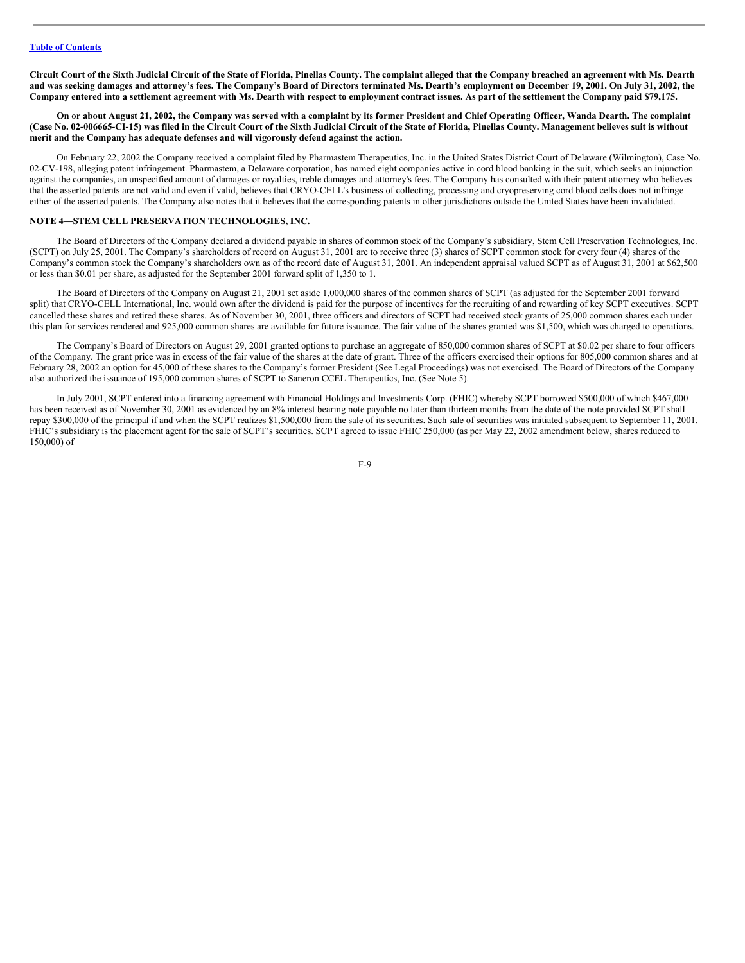Circuit Court of the Sixth Judicial Circuit of the State of Florida, Pinellas County. The complaint alleged that the Company breached an agreement with Ms. Dearth and was seeking damages and attorney's fees. The Company's Board of Directors terminated Ms. Dearth's employment on December 19, 2001. On July 31, 2002, the Company entered into a settlement agreement with Ms. Dearth with respect to employment contract issues. As part of the settlement the Company paid \$79,175.

On or about August 21, 2002, the Company was served with a complaint by its former President and Chief Operating Officer, Wanda Dearth. The complaint (Case No. 02-006665-CI-15) was filed in the Circuit Court of the Sixth Judicial Circuit of the State of Florida, Pinellas County. Management believes suit is without **merit and the Company has adequate defenses and will vigorously defend against the action.**

On February 22, 2002 the Company received a complaint filed by Pharmastem Therapeutics, Inc. in the United States District Court of Delaware (Wilmington), Case No. 02-CV-198, alleging patent infringement. Pharmastem, a Delaware corporation, has named eight companies active in cord blood banking in the suit, which seeks an injunction against the companies, an unspecified amount of damages or royalties, treble damages and attorney's fees. The Company has consulted with their patent attorney who believes that the asserted patents are not valid and even if valid, believes that CRYO-CELL's business of collecting, processing and cryopreserving cord blood cells does not infringe either of the asserted patents. The Company also notes that it believes that the corresponding patents in other jurisdictions outside the United States have been invalidated.

## **NOTE 4—STEM CELL PRESERVATION TECHNOLOGIES, INC.**

The Board of Directors of the Company declared a dividend payable in shares of common stock of the Company's subsidiary, Stem Cell Preservation Technologies, Inc. (SCPT) on July 25, 2001. The Company's shareholders of record on August 31, 2001 are to receive three (3) shares of SCPT common stock for every four (4) shares of the Company's common stock the Company's shareholders own as of the record date of August 31, 2001. An independent appraisal valued SCPT as of August 31, 2001 at \$62,500 or less than \$0.01 per share, as adjusted for the September 2001 forward split of 1,350 to 1.

The Board of Directors of the Company on August 21, 2001 set aside 1,000,000 shares of the common shares of SCPT (as adjusted for the September 2001 forward split) that CRYO-CELL International, Inc. would own after the dividend is paid for the purpose of incentives for the recruiting of and rewarding of key SCPT executives. SCPT cancelled these shares and retired these shares. As of November 30, 2001, three officers and directors of SCPT had received stock grants of 25,000 common shares each under this plan for services rendered and 925,000 common shares are available for future issuance. The fair value of the shares granted was \$1,500, which was charged to operations.

The Company's Board of Directors on August 29, 2001 granted options to purchase an aggregate of 850,000 common shares of SCPT at \$0.02 per share to four officers of the Company. The grant price was in excess of the fair value of the shares at the date of grant. Three of the officers exercised their options for 805,000 common shares and at February 28, 2002 an option for 45,000 of these shares to the Company's former President (See Legal Proceedings) was not exercised. The Board of Directors of the Company also authorized the issuance of 195,000 common shares of SCPT to Saneron CCEL Therapeutics, Inc. (See Note 5).

In July 2001, SCPT entered into a financing agreement with Financial Holdings and Investments Corp. (FHIC) whereby SCPT borrowed \$500,000 of which \$467,000 has been received as of November 30, 2001 as evidenced by an 8% interest bearing note payable no later than thirteen months from the date of the note provided SCPT shall repay \$300,000 of the principal if and when the SCPT realizes \$1,500,000 from the sale of its securities. Such sale of securities was initiated subsequent to September 11, 2001. FHIC's subsidiary is the placement agent for the sale of SCPT's securities. SCPT agreed to issue FHIC 250,000 (as per May 22, 2002 amendment below, shares reduced to 150,000) of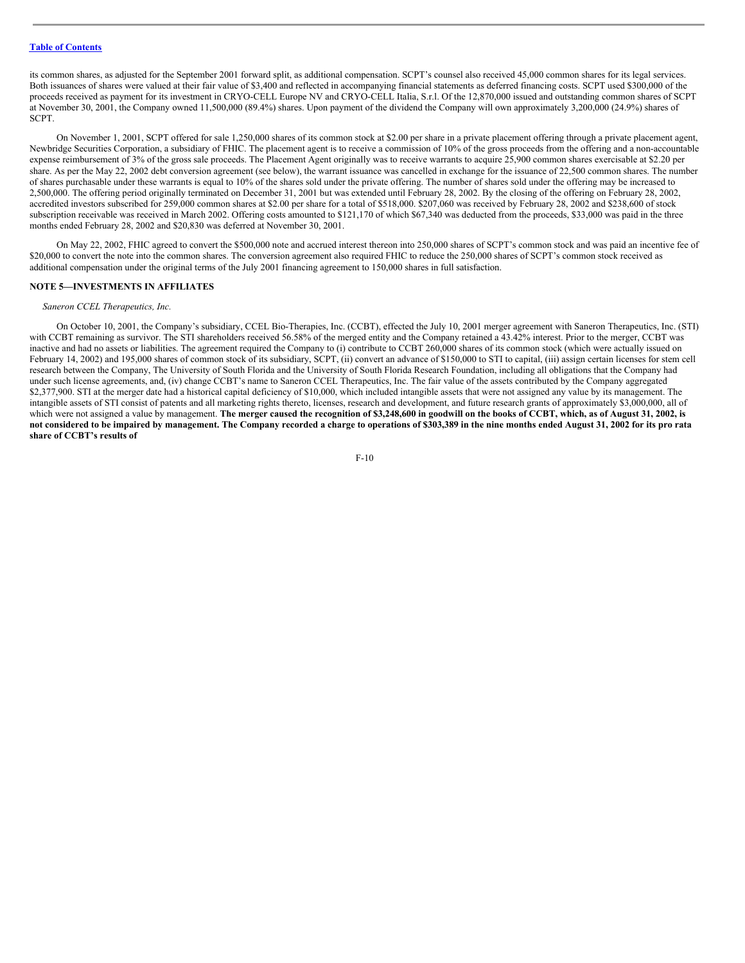# **Table of [Contents](#page-1-0)**

its common shares, as adjusted for the September 2001 forward split, as additional compensation. SCPT's counsel also received 45,000 common shares for its legal services. Both issuances of shares were valued at their fair value of \$3,400 and reflected in accompanying financial statements as deferred financing costs. SCPT used \$300,000 of the proceeds received as payment for its investment in CRYO-CELL Europe NV and CRYO-CELL Italia, S.r.l. Of the 12,870,000 issued and outstanding common shares of SCPT at November 30, 2001, the Company owned 11,500,000 (89.4%) shares. Upon payment of the dividend the Company will own approximately 3,200,000 (24.9%) shares of SCPT.

On November 1, 2001, SCPT offered for sale 1,250,000 shares of its common stock at \$2.00 per share in a private placement offering through a private placement agent, Newbridge Securities Corporation, a subsidiary of FHIC. The placement agent is to receive a commission of 10% of the gross proceeds from the offering and a non-accountable expense reimbursement of 3% of the gross sale proceeds. The Placement Agent originally was to receive warrants to acquire 25,900 common shares exercisable at \$2.20 per share. As per the May 22, 2002 debt conversion agreement (see below), the warrant issuance was cancelled in exchange for the issuance of 22,500 common shares. The number of shares purchasable under these warrants is equal to 10% of the shares sold under the private offering. The number of shares sold under the offering may be increased to 2,500,000. The offering period originally terminated on December 31, 2001 but was extended until February 28, 2002. By the closing of the offering on February 28, 2002, accredited investors subscribed for 259,000 common shares at \$2.00 per share for a total of \$518,000. \$207,060 was received by February 28, 2002 and \$238,600 of stock subscription receivable was received in March 2002. Offering costs amounted to \$121,170 of which \$67,340 was deducted from the proceeds, \$33,000 was paid in the three months ended February 28, 2002 and \$20,830 was deferred at November 30, 2001.

On May 22, 2002, FHIC agreed to convert the \$500,000 note and accrued interest thereon into 250,000 shares of SCPT's common stock and was paid an incentive fee of \$20,000 to convert the note into the common shares. The conversion agreement also required FHIC to reduce the 250,000 shares of SCPT's common stock received as additional compensation under the original terms of the July 2001 financing agreement to 150,000 shares in full satisfaction.

# **NOTE 5—INVESTMENTS IN AFFILIATES**

#### *Saneron CCEL Therapeutics, Inc.*

On October 10, 2001, the Company's subsidiary, CCEL Bio-Therapies, Inc. (CCBT), effected the July 10, 2001 merger agreement with Saneron Therapeutics, Inc. (STI) with CCBT remaining as survivor. The STI shareholders received 56.58% of the merged entity and the Company retained a 43.42% interest. Prior to the merger, CCBT was inactive and had no assets or liabilities. The agreement required the Company to (i) contribute to CCBT 260,000 shares of its common stock (which were actually issued on February 14, 2002) and 195,000 shares of common stock of its subsidiary, SCPT, (ii) convert an advance of \$150,000 to STI to capital, (iii) assign certain licenses for stem cell research between the Company, The University of South Florida and the University of South Florida Research Foundation, including all obligations that the Company had under such license agreements, and, (iv) change CCBT's name to Saneron CCEL Therapeutics, Inc. The fair value of the assets contributed by the Company aggregated \$2,377,900. STI at the merger date had a historical capital deficiency of \$10,000, which included intangible assets that were not assigned any value by its management. The intangible assets of STI consist of patents and all marketing rights thereto, licenses, research and development, and future research grants of approximately \$3,000,000, all of which were not assigned a value by management. The merger caused the recognition of \$3,248,600 in goodwill on the books of CCBT, which, as of August 31, 2002, is not considered to be impaired by management. The Company recorded a charge to operations of \$303,389 in the nine months ended August 31, 2002 for its pro rata **share of CCBT's results of**

$$
F-10
$$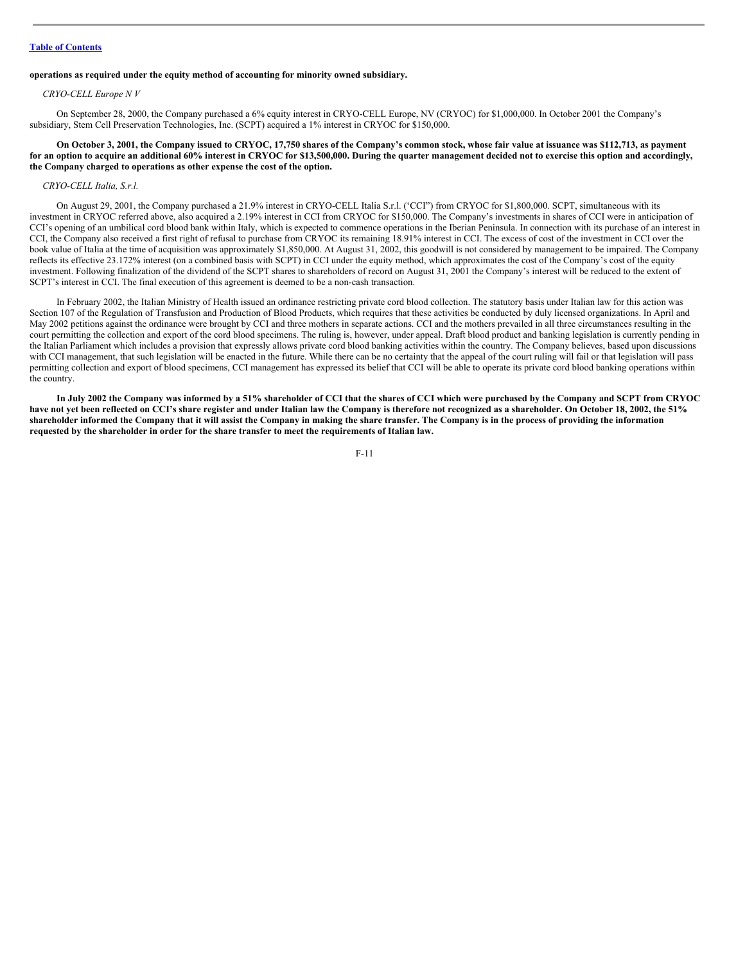# **Table of [Contents](#page-1-0)**

# **operations as required under the equity method of accounting for minority owned subsidiary.**

#### *CRYO-CELL Europe N V*

On September 28, 2000, the Company purchased a 6% equity interest in CRYO-CELL Europe, NV (CRYOC) for \$1,000,000. In October 2001 the Company's subsidiary, Stem Cell Preservation Technologies, Inc. (SCPT) acquired a 1% interest in CRYOC for \$150,000.

On October 3, 2001, the Company issued to CRYOC, 17,750 shares of the Company's common stock, whose fair value at issuance was \$112,713, as payment for an option to acquire an additional 60% interest in CRYOC for \$13,500,000. During the quarter management decided not to exercise this option and accordingly, **the Company charged to operations as other expense the cost of the option.**

#### *CRYO-CELL Italia, S.r.l.*

On August 29, 2001, the Company purchased a 21.9% interest in CRYO-CELL Italia S.r.l. ('CCI") from CRYOC for \$1,800,000. SCPT, simultaneous with its investment in CRYOC referred above, also acquired a 2.19% interest in CCI from CRYOC for \$150,000. The Company's investments in shares of CCI were in anticipation of CCI's opening of an umbilical cord blood bank within Italy, which is expected to commence operations in the Iberian Peninsula. In connection with its purchase of an interest in CCI, the Company also received a first right of refusal to purchase from CRYOC its remaining 18.91% interest in CCI. The excess of cost of the investment in CCI over the book value of Italia at the time of acquisition was approximately \$1,850,000. At August 31, 2002, this goodwill is not considered by management to be impaired. The Company reflects its effective 23.172% interest (on a combined basis with SCPT) in CCI under the equity method, which approximates the cost of the Company's cost of the equity investment. Following finalization of the dividend of the SCPT shares to shareholders of record on August 31, 2001 the Company's interest will be reduced to the extent of SCPT's interest in CCI. The final execution of this agreement is deemed to be a non-cash transaction.

In February 2002, the Italian Ministry of Health issued an ordinance restricting private cord blood collection. The statutory basis under Italian law for this action was Section 107 of the Regulation of Transfusion and Production of Blood Products, which requires that these activities be conducted by duly licensed organizations. In April and May 2002 petitions against the ordinance were brought by CCI and three mothers in separate actions. CCI and the mothers prevailed in all three circumstances resulting in the court permitting the collection and export of the cord blood specimens. The ruling is, however, under appeal. Draft blood product and banking legislation is currently pending in the Italian Parliament which includes a provision that expressly allows private cord blood banking activities within the country. The Company believes, based upon discussions with CCI management, that such legislation will be enacted in the future. While there can be no certainty that the appeal of the court ruling will fail or that legislation will pass permitting collection and export of blood specimens, CCI management has expressed its belief that CCI will be able to operate its private cord blood banking operations within the country.

In July 2002 the Company was informed by a 51% shareholder of CCI that the shares of CCI which were purchased by the Company and SCPT from CRYOC have not yet been reflected on CCI's share register and under Italian law the Company is therefore not recognized as a shareholder. On October 18, 2002, the 51% shareholder informed the Company that it will assist the Company in making the share transfer. The Company is in the process of providing the information **requested by the shareholder in order for the share transfer to meet the requirements of Italian law.**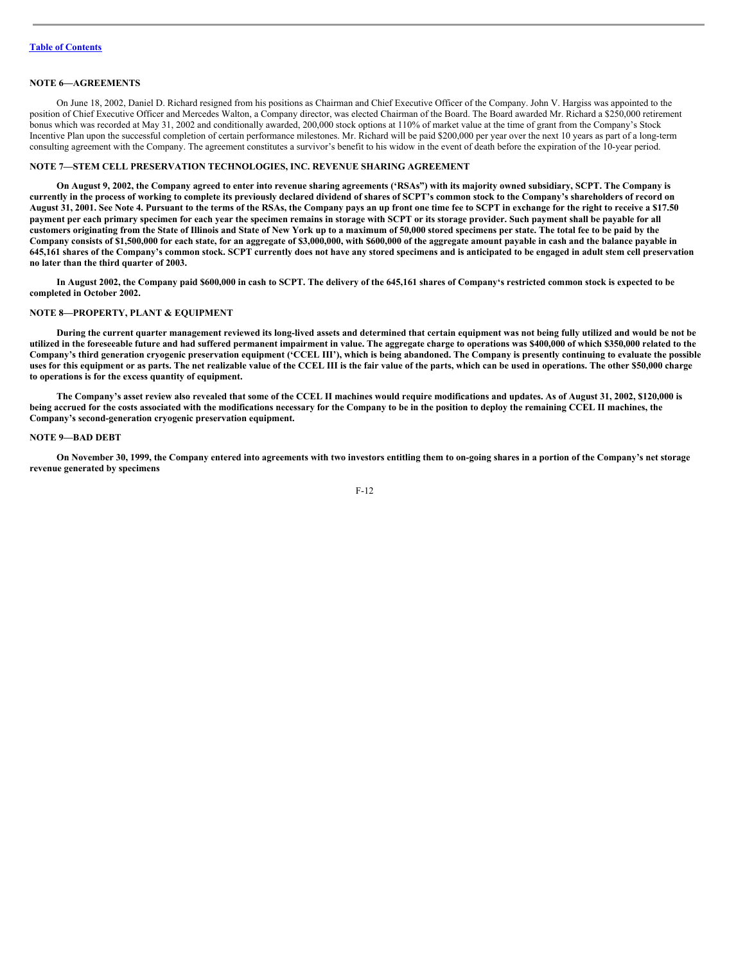# **NOTE 6—AGREEMENTS**

On June 18, 2002, Daniel D. Richard resigned from his positions as Chairman and Chief Executive Officer of the Company. John V. Hargiss was appointed to the position of Chief Executive Officer and Mercedes Walton, a Company director, was elected Chairman of the Board. The Board awarded Mr. Richard a \$250,000 retirement bonus which was recorded at May 31, 2002 and conditionally awarded, 200,000 stock options at 110% of market value at the time of grant from the Company's Stock Incentive Plan upon the successful completion of certain performance milestones. Mr. Richard will be paid \$200,000 per year over the next 10 years as part of a long-term consulting agreement with the Company. The agreement constitutes a survivor's benefit to his widow in the event of death before the expiration of the 10-year period.

#### **NOTE 7—STEM CELL PRESERVATION TECHNOLOGIES, INC. REVENUE SHARING AGREEMENT**

On August 9, 2002, the Company agreed to enter into revenue sharing agreements ('RSAs") with its majority owned subsidiary, SCPT. The Company is currently in the process of working to complete its previously declared dividend of shares of SCPT's common stock to the Company's shareholders of record on August 31, 2001. See Note 4. Pursuant to the terms of the RSAs, the Company pays an up front one time fee to SCPT in exchange for the right to receive a \$17.50 payment per each primary specimen for each year the specimen remains in storage with SCPT or its storage provider. Such payment shall be payable for all customers originating from the State of Illinois and State of New York up to a maximum of 50,000 stored specimens per state. The total fee to be paid by the Company consists of \$1,500,000 for each state, for an aggregate of \$3,000,000, with \$600,000 of the aggregate amount payable in cash and the balance payable in 645,161 shares of the Company's common stock. SCPT currently does not have any stored specimens and is anticipated to be engaged in adult stem cell preservation **no later than the third quarter of 2003.**

In August 2002, the Company paid \$600,000 in cash to SCPT. The delivery of the 645,161 shares of Company's restricted common stock is expected to be **completed in October 2002.**

# **NOTE 8—PROPERTY, PLANT & EQUIPMENT**

During the current quarter management reviewed its long-lived assets and determined that certain equipment was not being fully utilized and would be not be utilized in the foreseeable future and had suffered permanent impairment in value. The aggregate charge to operations was \$400,000 of which \$350,000 related to the Company's third generation cryogenic preservation equipment ('CCEL III'), which is being abandoned. The Company is presently continuing to evaluate the possible uses for this equipment or as parts. The net realizable value of the CCEL III is the fair value of the parts, which can be used in operations. The other \$50,000 charge **to operations is for the excess quantity of equipment.**

The Company's asset review also revealed that some of the CCEL II machines would require modifications and updates. As of August 31, 2002, \$120,000 is being accrued for the costs associated with the modifications necessary for the Company to be in the position to deploy the remaining CCEL II machines, the **Company's second-generation cryogenic preservation equipment.**

#### **NOTE 9—BAD DEBT**

On November 30, 1999, the Company entered into agreements with two investors entitling them to on-going shares in a portion of the Company's net storage **revenue generated by specimens**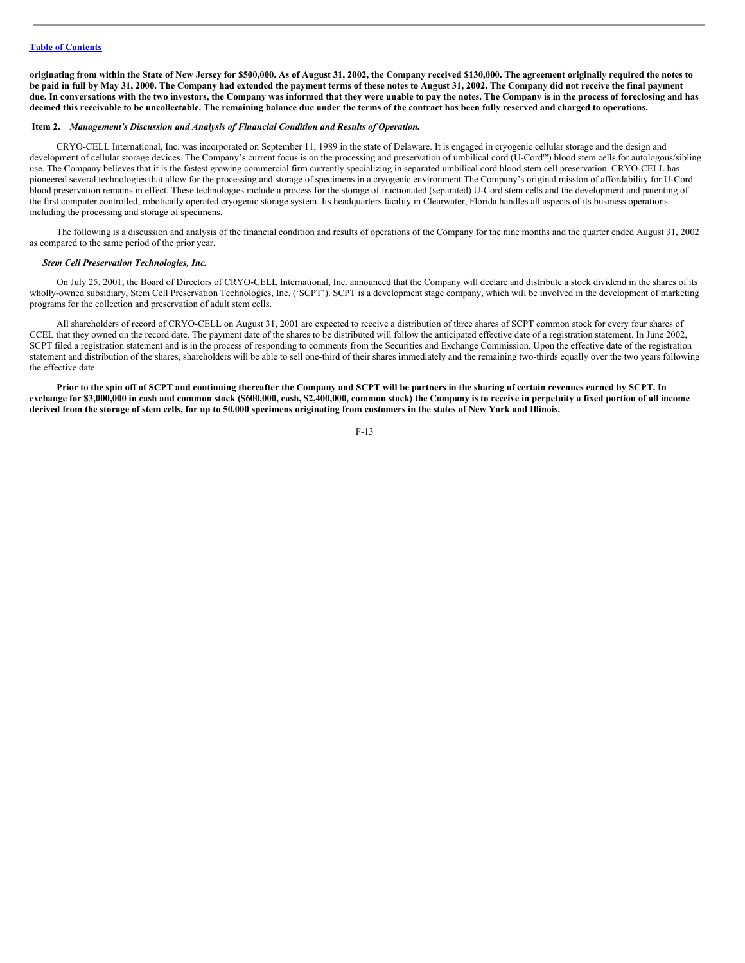originating from within the State of New Jersey for \$500,000. As of August 31, 2002, the Company received \$130,000. The agreement originally required the notes to be paid in full by May 31, 2000. The Company had extended the payment terms of these notes to August 31, 2002. The Company did not receive the final payment due. In conversations with the two investors, the Company was informed that they were unable to pay the notes. The Company is in the process of foreclosing and has deemed this receivable to be uncollectable. The remaining balance due under the terms of the contract has been fully reserved and charged to operations.

## <span id="page-12-0"></span>**Item 2.** *Management's Discussion and Analysis of Financial Condition and Results of Operation.*

CRYO-CELL International, Inc. was incorporated on September 11, 1989 in the state of Delaware. It is engaged in cryogenic cellular storage and the design and development of cellular storage devices. The Company's current focus is on the processing and preservation of umbilical cord (U-Cord™) blood stem cells for autologous/sibling use. The Company believes that it is the fastest growing commercial firm currently specializing in separated umbilical cord blood stem cell preservation. CRYO-CELL has pioneered several technologies that allow for the processing and storage of specimens in a cryogenic environment.The Company's original mission of affordability for U-Cord blood preservation remains in effect. These technologies include a process for the storage of fractionated (separated) U-Cord stem cells and the development and patenting of the first computer controlled, robotically operated cryogenic storage system. Its headquarters facility in Clearwater, Florida handles all aspects of its business operations including the processing and storage of specimens.

The following is a discussion and analysis of the financial condition and results of operations of the Company for the nine months and the quarter ended August 31, 2002 as compared to the same period of the prior year.

## *Stem Cell Preservation Technologies, Inc.*

On July 25, 2001, the Board of Directors of CRYO-CELL International, Inc. announced that the Company will declare and distribute a stock dividend in the shares of its wholly-owned subsidiary, Stem Cell Preservation Technologies, Inc. ('SCPT'). SCPT is a development stage company, which will be involved in the development of marketing programs for the collection and preservation of adult stem cells.

All shareholders of record of CRYO-CELL on August 31, 2001 are expected to receive a distribution of three shares of SCPT common stock for every four shares of CCEL that they owned on the record date. The payment date of the shares to be distributed will follow the anticipated effective date of a registration statement. In June 2002, SCPT filed a registration statement and is in the process of responding to comments from the Securities and Exchange Commission. Upon the effective date of the registration statement and distribution of the shares, shareholders will be able to sell one-third of their shares immediately and the remaining two-thirds equally over the two years following the effective date.

Prior to the spin off of SCPT and continuing thereafter the Company and SCPT will be partners in the sharing of certain revenues earned by SCPT. In exchange for \$3,000,000 in cash and common stock (\$600,000, cash, \$2,400,000, common stock) the Company is to receive in perpetuity a fixed portion of all income derived from the storage of stem cells, for up to 50,000 specimens originating from customers in the states of New York and Illinois.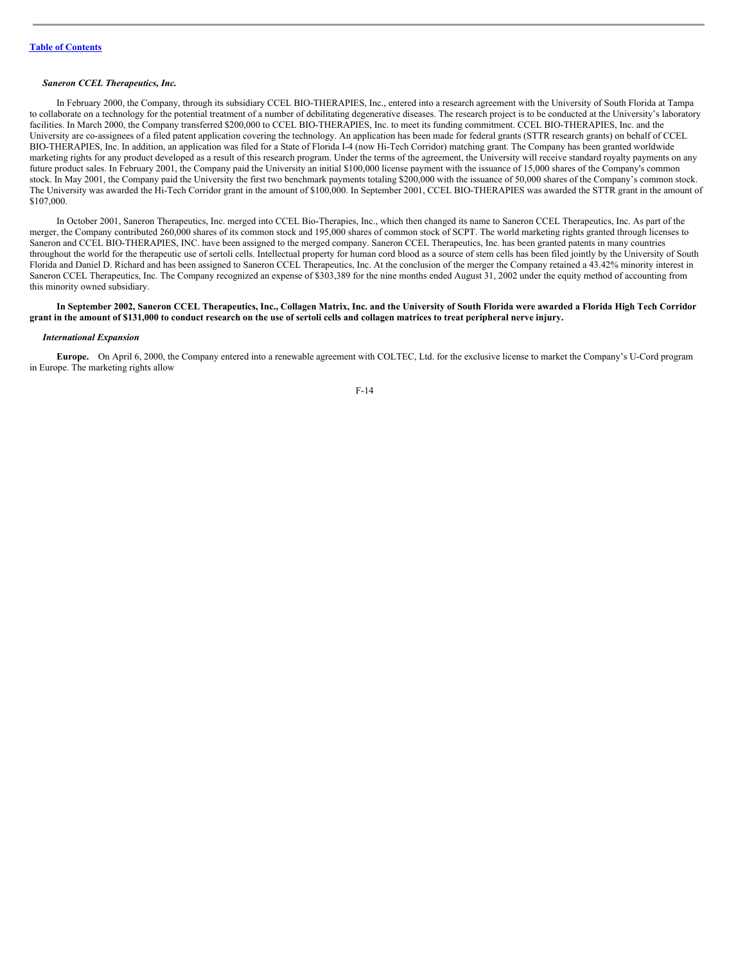#### *Saneron CCEL Therapeutics, Inc.*

In February 2000, the Company, through its subsidiary CCEL BIO-THERAPIES, Inc., entered into a research agreement with the University of South Florida at Tampa to collaborate on a technology for the potential treatment of a number of debilitating degenerative diseases. The research project is to be conducted at the University's laboratory facilities. In March 2000, the Company transferred \$200,000 to CCEL BIO-THERAPIES, Inc. to meet its funding commitment. CCEL BIO-THERAPIES, Inc. and the University are co-assignees of a filed patent application covering the technology. An application has been made for federal grants (STTR research grants) on behalf of CCEL BIO-THERAPIES, Inc. In addition, an application was filed for a State of Florida I-4 (now Hi-Tech Corridor) matching grant. The Company has been granted worldwide marketing rights for any product developed as a result of this research program. Under the terms of the agreement, the University will receive standard royalty payments on any future product sales. In February 2001, the Company paid the University an initial \$100,000 license payment with the issuance of 15,000 shares of the Company's common stock. In May 2001, the Company paid the University the first two benchmark payments totaling \$200,000 with the issuance of 50,000 shares of the Company's common stock. The University was awarded the Hi-Tech Corridor grant in the amount of \$100,000. In September 2001, CCEL BIO-THERAPIES was awarded the STTR grant in the amount of \$107,000.

In October 2001, Saneron Therapeutics, Inc. merged into CCEL Bio-Therapies, Inc., which then changed its name to Saneron CCEL Therapeutics, Inc. As part of the merger, the Company contributed 260,000 shares of its common stock and 195,000 shares of common stock of SCPT. The world marketing rights granted through licenses to Saneron and CCEL BIO-THERAPIES, INC. have been assigned to the merged company. Saneron CCEL Therapeutics, Inc. has been granted patents in many countries throughout the world for the therapeutic use of sertoli cells. Intellectual property for human cord blood as a source of stem cells has been filed jointly by the University of South Florida and Daniel D. Richard and has been assigned to Saneron CCEL Therapeutics, Inc. At the conclusion of the merger the Company retained a 43.42% minority interest in Saneron CCEL Therapeutics, Inc. The Company recognized an expense of \$303,389 for the nine months ended August 31, 2002 under the equity method of accounting from this minority owned subsidiary.

## In September 2002, Saneron CCEL Therapeutics, Inc., Collagen Matrix, Inc. and the University of South Florida were awarded a Florida High Tech Corridor grant in the amount of \$131,000 to conduct research on the use of sertoli cells and collagen matrices to treat peripheral nerve injury.

#### *International Expansion*

**Europe.** On April 6, 2000, the Company entered into a renewable agreement with COLTEC, Ltd. for the exclusive license to market the Company's U-Cord program in Europe. The marketing rights allow

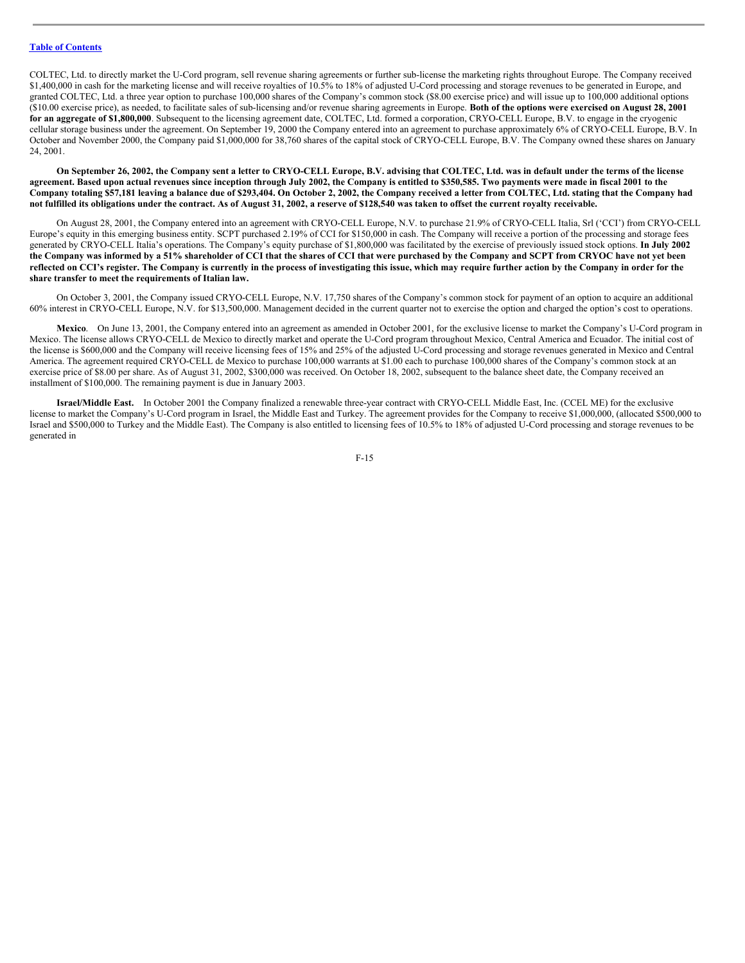COLTEC, Ltd. to directly market the U-Cord program, sell revenue sharing agreements or further sub-license the marketing rights throughout Europe. The Company received \$1,400,000 in cash for the marketing license and will receive royalties of 10.5% to 18% of adjusted U-Cord processing and storage revenues to be generated in Europe, and granted COLTEC, Ltd. a three year option to purchase 100,000 shares of the Company's common stock (\$8.00 exercise price) and will issue up to 100,000 additional options (\$10.00 exercise price), as needed, to facilitate sales of sub-licensing and/or revenue sharing agreements in Europe. Both of the options were exercised on August 28, 2001 **for an aggregate of \$1,800,000**. Subsequent to the licensing agreement date, COLTEC, Ltd. formed a corporation, CRYO-CELL Europe, B.V. to engage in the cryogenic cellular storage business under the agreement. On September 19, 2000 the Company entered into an agreement to purchase approximately 6% of CRYO-CELL Europe, B.V. In October and November 2000, the Company paid \$1,000,000 for 38,760 shares of the capital stock of CRYO-CELL Europe, B.V. The Company owned these shares on January 24, 2001.

On September 26, 2002, the Company sent a letter to CRYO-CELL Europe, B.V. advising that COLTEC, Ltd. was in default under the terms of the license agreement. Based upon actual revenues since inception through July 2002, the Company is entitled to \$350,585. Two payments were made in fiscal 2001 to the Company totaling \$57,181 leaving a balance due of \$293,404. On October 2, 2002, the Company received a letter from COLTEC, Ltd. stating that the Company had not fulfilled its obligations under the contract. As of August 31, 2002, a reserve of \$128,540 was taken to offset the current royalty receivable.

On August 28, 2001, the Company entered into an agreement with CRYO-CELL Europe, N.V. to purchase 21.9% of CRYO-CELL Italia, Srl ('CCI') from CRYO-CELL Europe's equity in this emerging business entity. SCPT purchased 2.19% of CCI for \$150,000 in cash. The Company will receive a portion of the processing and storage fees generated by CRYO-CELL Italia's operations. The Company's equity purchase of \$1,800,000 was facilitated by the exercise of previously issued stock options. **In July 2002** the Company was informed by a 51% shareholder of CCI that the shares of CCI that were purchased by the Company and SCPT from CRYOC have not yet been reflected on CCI's register. The Company is currently in the process of investigating this issue, which may require further action by the Company in order for the **share transfer to meet the requirements of Italian law.**

On October 3, 2001, the Company issued CRYO-CELL Europe, N.V. 17,750 shares of the Company's common stock for payment of an option to acquire an additional 60% interest in CRYO-CELL Europe, N.V. for \$13,500,000. Management decided in the current quarter not to exercise the option and charged the option's cost to operations.

Mexico. On June 13, 2001, the Company entered into an agreement as amended in October 2001, for the exclusive license to market the Company's U-Cord program in Mexico. The license allows CRYO-CELL de Mexico to directly market and operate the U-Cord program throughout Mexico, Central America and Ecuador. The initial cost of the license is \$600,000 and the Company will receive licensing fees of 15% and 25% of the adjusted U-Cord processing and storage revenues generated in Mexico and Central America. The agreement required CRYO-CELL de Mexico to purchase 100,000 warrants at \$1.00 each to purchase 100,000 shares of the Company's common stock at an exercise price of \$8.00 per share. As of August 31, 2002, \$300,000 was received. On October 18, 2002, subsequent to the balance sheet date, the Company received an installment of \$100,000. The remaining payment is due in January 2003.

**Israel/Middle East.** In October 2001 the Company finalized a renewable three-year contract with CRYO-CELL Middle East, Inc. (CCEL ME) for the exclusive license to market the Company's U-Cord program in Israel, the Middle East and Turkey. The agreement provides for the Company to receive \$1,000,000, (allocated \$500,000 to Israel and \$500,000 to Turkey and the Middle East). The Company is also entitled to licensing fees of 10.5% to 18% of adjusted U-Cord processing and storage revenues to be generated in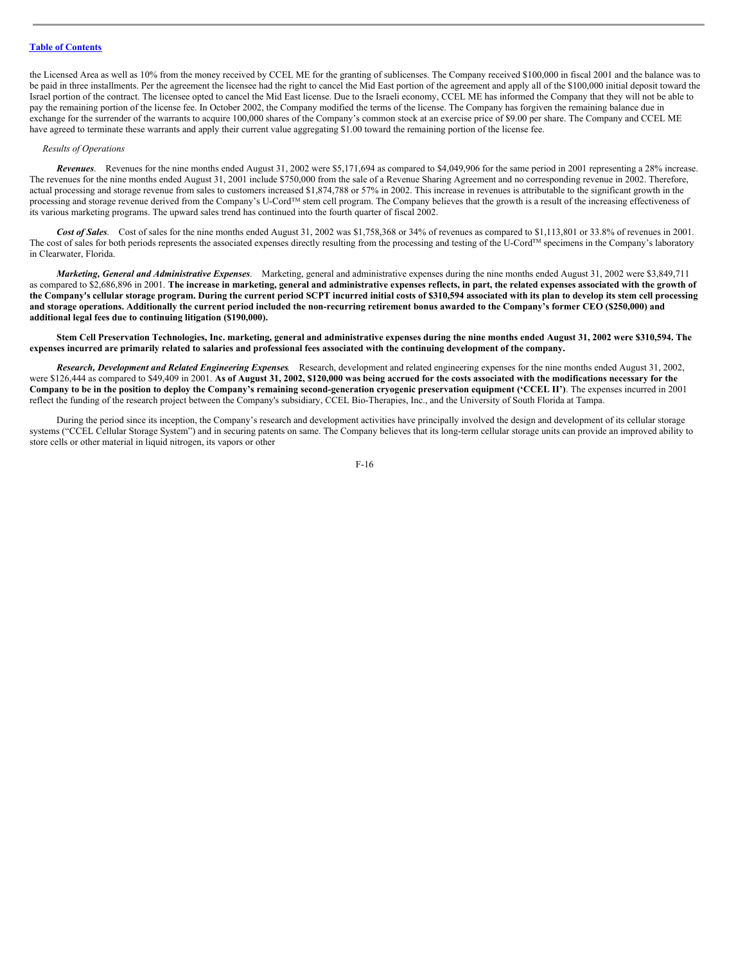# **Table of [Contents](#page-1-0)**

the Licensed Area as well as 10% from the money received by CCEL ME for the granting of sublicenses. The Company received \$100,000 in fiscal 2001 and the balance was to be paid in three installments. Per the agreement the licensee had the right to cancel the Mid East portion of the agreement and apply all of the \$100,000 initial deposit toward the Israel portion of the contract. The licensee opted to cancel the Mid East license. Due to the Israeli economy, CCEL ME has informed the Company that they will not be able to pay the remaining portion of the license fee. In October 2002, the Company modified the terms of the license. The Company has forgiven the remaining balance due in exchange for the surrender of the warrants to acquire 100,000 shares of the Company's common stock at an exercise price of \$9.00 per share. The Company and CCEL ME have agreed to terminate these warrants and apply their current value aggregating \$1.00 toward the remaining portion of the license fee.

#### *Results of Operations*

*Revenues*. Revenues for the nine months ended August 31, 2002 were \$5,171,694 as compared to \$4,049,906 for the same period in 2001 representing a 28% increase. The revenues for the nine months ended August 31, 2001 include \$750,000 from the sale of a Revenue Sharing Agreement and no corresponding revenue in 2002. Therefore, actual processing and storage revenue from sales to customers increased \$1,874,788 or 57% in 2002. This increase in revenues is attributable to the significant growth in the processing and storage revenue derived from the Company's U-Cord<sup>TM</sup> stem cell program. The Company believes that the growth is a result of the increasing effectiveness of its various marketing programs. The upward sales trend has continued into the fourth quarter of fiscal 2002.

*Cost of Sales*. Cost of sales for the nine months ended August 31, 2002 was \$1,758,368 or 34% of revenues as compared to \$1,113,801 or 33.8% of revenues in 2001. The cost of sales for both periods represents the associated expenses directly resulting from the processing and testing of the U-Cord™ specimens in the Company's laboratory in Clearwater, Florida.

*Marketing, General and Administrative Expenses*. Marketing, general and administrative expenses during the nine months ended August 31, 2002 were \$3,849,711 as compared to \$2,686,896 in 2001. The increase in marketing, general and administrative expenses reflects, in part, the related expenses associated with the growth of the Company's cellular storage program. During the current period SCPT incurred initial costs of \$310,594 associated with its plan to develop its stem cell processing and storage operations. Additionally the current period included the non-recurring retirement bonus awarded to the Company's former CEO (\$250,000) and **additional legal fees due to continuing litigation (\$190,000).**

Stem Cell Preservation Technologies, Inc. marketing, general and administrative expenses during the nine months ended August 31, 2002 were \$310,594. The expenses incurred are primarily related to salaries and professional fees associated with the continuing development of the company.

*Research, Development and Related Engineering Expenses*. Research, development and related engineering expenses for the nine months ended August 31, 2002, were \$126,444 as compared to \$49,409 in 2001. As of August 31, 2002, \$120,000 was being accrued for the costs associated with the modifications necessary for the Company to be in the position to deploy the Company's remaining second-generation cryogenic preservation equipment ('CCEL II'). The expenses incurred in 2001 reflect the funding of the research project between the Company's subsidiary, CCEL Bio-Therapies, Inc., and the University of South Florida at Tampa.

During the period since its inception, the Company's research and development activities have principally involved the design and development of its cellular storage systems ("CCEL Cellular Storage System") and in securing patents on same. The Company believes that its long-term cellular storage units can provide an improved ability to store cells or other material in liquid nitrogen, its vapors or other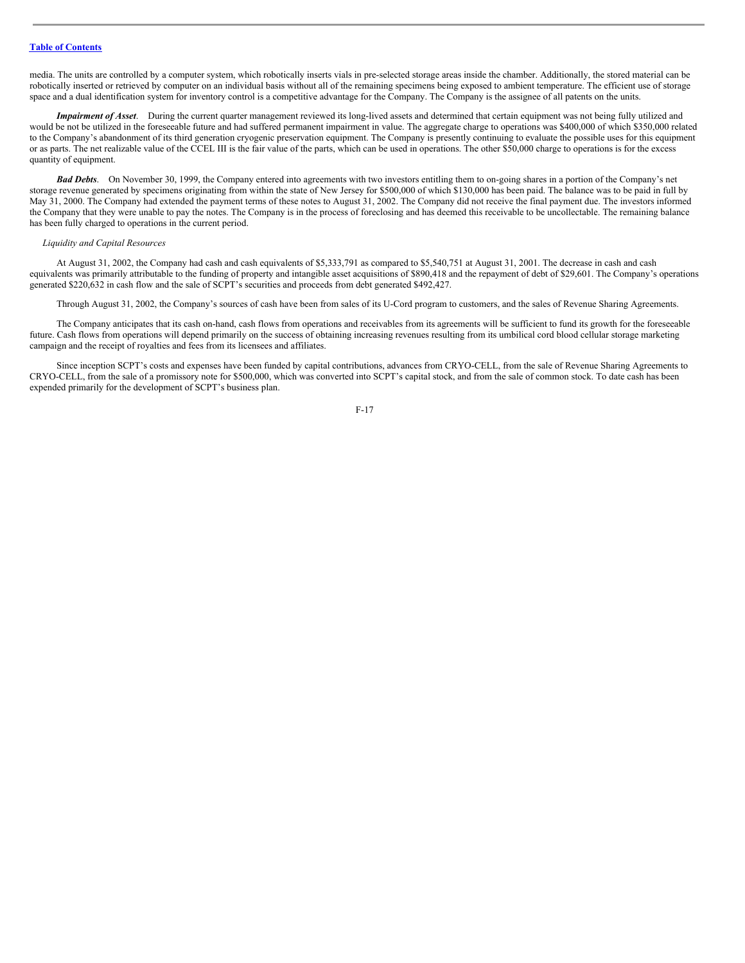media. The units are controlled by a computer system, which robotically inserts vials in pre-selected storage areas inside the chamber. Additionally, the stored material can be robotically inserted or retrieved by computer on an individual basis without all of the remaining specimens being exposed to ambient temperature. The efficient use of storage space and a dual identification system for inventory control is a competitive advantage for the Company. The Company is the assignee of all patents on the units.

*Impairment of Asset*. During the current quarter management reviewed its long-lived assets and determined that certain equipment was not being fully utilized and would be not be utilized in the foreseeable future and had suffered permanent impairment in value. The aggregate charge to operations was \$400,000 of which \$350,000 related to the Company's abandonment of its third generation cryogenic preservation equipment. The Company is presently continuing to evaluate the possible uses for this equipment or as parts. The net realizable value of the CCEL III is the fair value of the parts, which can be used in operations. The other \$50,000 charge to operations is for the excess quantity of equipment.

*Bad Debts*. On November 30, 1999, the Company entered into agreements with two investors entitling them to on-going shares in a portion of the Company's net storage revenue generated by specimens originating from within the state of New Jersey for \$500,000 of which \$130,000 has been paid. The balance was to be paid in full by May 31, 2000. The Company had extended the payment terms of these notes to August 31, 2002. The Company did not receive the final payment due. The investors informed the Company that they were unable to pay the notes. The Company is in the process of foreclosing and has deemed this receivable to be uncollectable. The remaining balance has been fully charged to operations in the current period.

## *Liquidity and Capital Resources*

At August 31, 2002, the Company had cash and cash equivalents of \$5,333,791 as compared to \$5,540,751 at August 31, 2001. The decrease in cash and cash equivalents was primarily attributable to the funding of property and intangible asset acquisitions of \$890,418 and the repayment of debt of \$29,601. The Company's operations generated \$220,632 in cash flow and the sale of SCPT's securities and proceeds from debt generated \$492,427.

Through August 31, 2002, the Company's sources of cash have been from sales of its U-Cord program to customers, and the sales of Revenue Sharing Agreements.

The Company anticipates that its cash on-hand, cash flows from operations and receivables from its agreements will be sufficient to fund its growth for the foreseeable future. Cash flows from operations will depend primarily on the success of obtaining increasing revenues resulting from its umbilical cord blood cellular storage marketing campaign and the receipt of royalties and fees from its licensees and affiliates.

Since inception SCPT's costs and expenses have been funded by capital contributions, advances from CRYO-CELL, from the sale of Revenue Sharing Agreements to CRYO-CELL, from the sale of a promissory note for \$500,000, which was converted into SCPT's capital stock, and from the sale of common stock. To date cash has been expended primarily for the development of SCPT's business plan.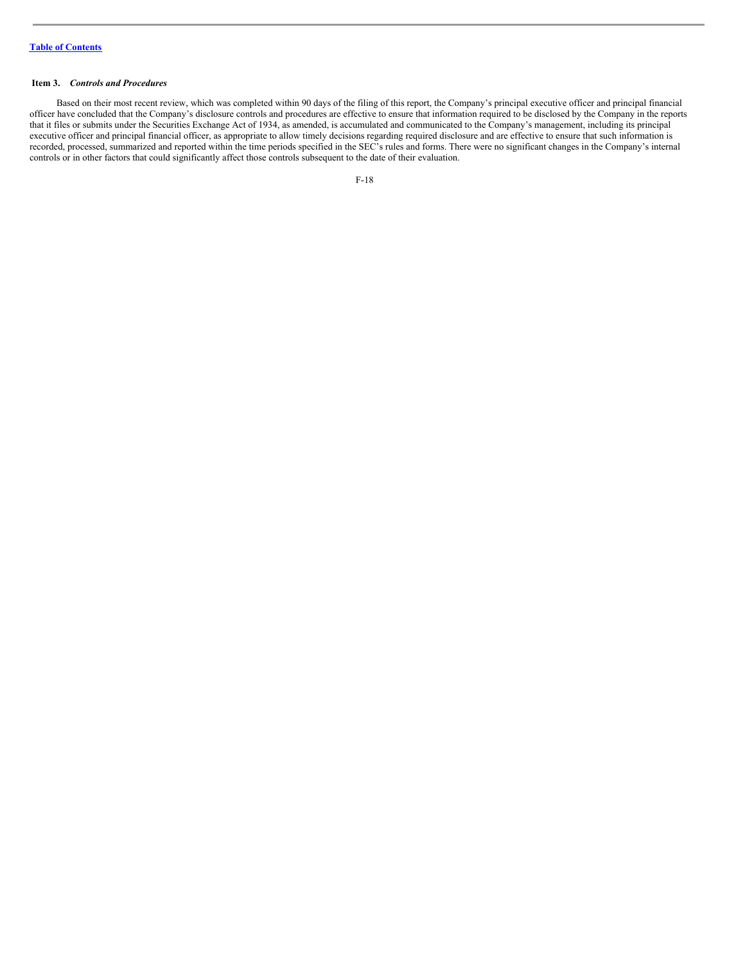## <span id="page-17-0"></span>**Item 3.** *Controls and Procedures*

Based on their most recent review, which was completed within 90 days of the filing of this report, the Company's principal executive officer and principal financial officer have concluded that the Company's disclosure controls and procedures are effective to ensure that information required to be disclosed by the Company in the reports that it files or submits under the Securities Exchange Act of 1934, as amended, is accumulated and communicated to the Company's management, including its principal executive officer and principal financial officer, as appropriate to allow timely decisions regarding required disclosure and are effective to ensure that such information is recorded, processed, summarized and reported within the time periods specified in the SEC's rules and forms. There were no significant changes in the Company's internal controls or in other factors that could significantly affect those controls subsequent to the date of their evaluation.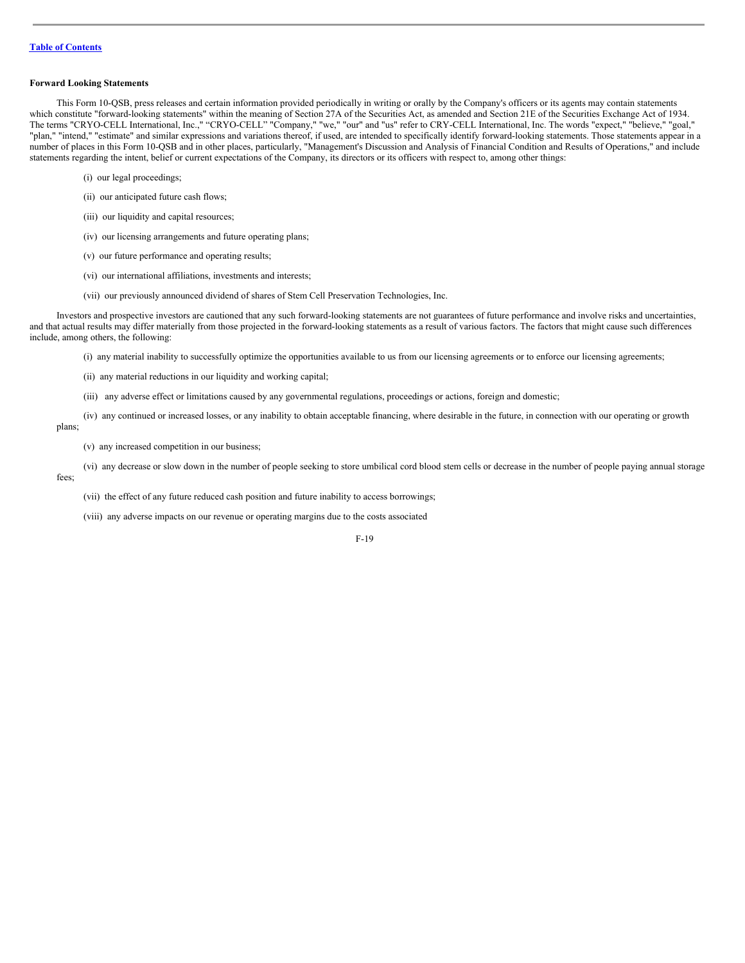## **Forward Looking Statements**

This Form 10-QSB, press releases and certain information provided periodically in writing or orally by the Company's officers or its agents may contain statements which constitute "forward-looking statements" within the meaning of Section 27A of the Securities Act, as amended and Section 21E of the Securities Exchange Act of 1934. The terms "CRYO-CELL International, Inc.," "CRYO-CELL" "Company," "we," "our" and "us" refer to CRY-CELL International, Inc. The words "expect," "believe," "goal," "plan," "intend," "estimate" and similar expressions and variations thereof, if used, are intended to specifically identify forward-looking statements. Those statements appear in a number of places in this Form 10-QSB and in other places, particularly, "Management's Discussion and Analysis of Financial Condition and Results of Operations," and include statements regarding the intent, belief or current expectations of the Company, its directors or its officers with respect to, among other things:

- (i) our legal proceedings;
- (ii) our anticipated future cash flows;
- (iii) our liquidity and capital resources;
- (iv) our licensing arrangements and future operating plans;
- (v) our future performance and operating results;
- (vi) our international affiliations, investments and interests;
- (vii) our previously announced dividend of shares of Stem Cell Preservation Technologies, Inc.

Investors and prospective investors are cautioned that any such forward-looking statements are not guarantees of future performance and involve risks and uncertainties, and that actual results may differ materially from those projected in the forward-looking statements as a result of various factors. The factors that might cause such differences include, among others, the following:

- (i) any material inability to successfully optimize the opportunities available to us from our licensing agreements or to enforce our licensing agreements;
- (ii) any material reductions in our liquidity and working capital;
- (iii) any adverse effect or limitations caused by any governmental regulations, proceedings or actions, foreign and domestic;

(iv) any continued or increased losses, or any inability to obtain acceptable financing, where desirable in the future, in connection with our operating or growth plans;

(v) any increased competition in our business;

(vi) any decrease or slow down in the number of people seeking to store umbilical cord blood stem cells or decrease in the number of people paying annual storage fees;

(vii) the effect of any future reduced cash position and future inability to access borrowings;

(viii) any adverse impacts on our revenue or operating margins due to the costs associated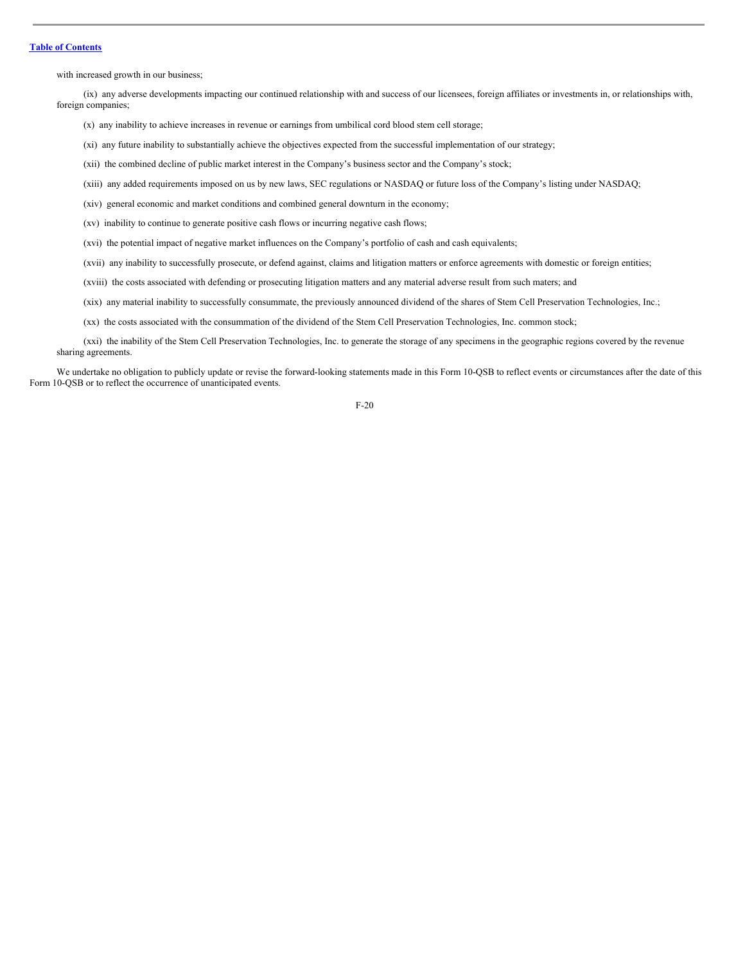## **Table of [Contents](#page-1-0)**

with increased growth in our business;

(ix) any adverse developments impacting our continued relationship with and success of our licensees, foreign affiliates or investments in, or relationships with, foreign companies;

- (x) any inability to achieve increases in revenue or earnings from umbilical cord blood stem cell storage;
- (xi) any future inability to substantially achieve the objectives expected from the successful implementation of our strategy;
- (xii) the combined decline of public market interest in the Company's business sector and the Company's stock;
- (xiii) any added requirements imposed on us by new laws, SEC regulations or NASDAQ or future loss of the Company's listing under NASDAQ;
- (xiv) general economic and market conditions and combined general downturn in the economy;
- (xv) inability to continue to generate positive cash flows or incurring negative cash flows;
- (xvi) the potential impact of negative market influences on the Company's portfolio of cash and cash equivalents;
- (xvii) any inability to successfully prosecute, or defend against, claims and litigation matters or enforce agreements with domestic or foreign entities;
- (xviii) the costs associated with defending or prosecuting litigation matters and any material adverse result from such maters; and
- (xix) any material inability to successfully consummate, the previously announced dividend of the shares of Stem Cell Preservation Technologies, Inc.;
- (xx) the costs associated with the consummation of the dividend of the Stem Cell Preservation Technologies, Inc. common stock;
- (xxi) the inability of the Stem Cell Preservation Technologies, Inc. to generate the storage of any specimens in the geographic regions covered by the revenue sharing agreements.
- We undertake no obligation to publicly update or revise the forward-looking statements made in this Form 10-QSB to reflect events or circumstances after the date of this Form 10-QSB or to reflect the occurrence of unanticipated events.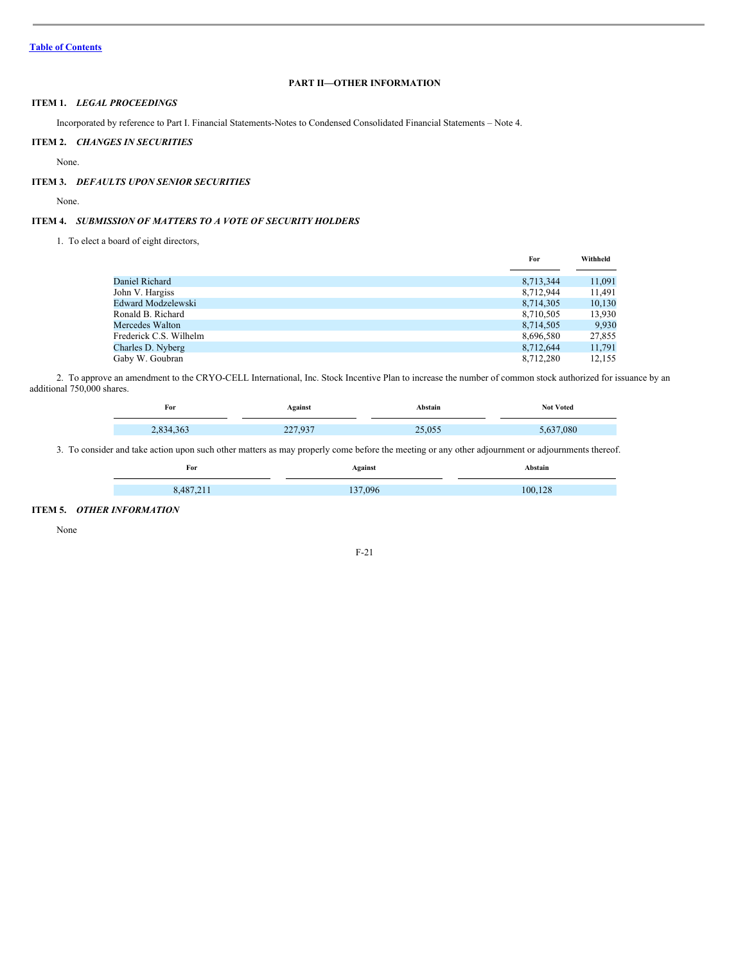# **PART II—OTHER INFORMATION**

# <span id="page-20-0"></span>**ITEM 1.** *LEGAL PROCEEDINGS*

Incorporated by reference to Part I. Financial Statements-Notes to Condensed Consolidated Financial Statements – Note 4.

# <span id="page-20-1"></span>**ITEM 2.** *CHANGES IN SECURITIES*

None.

# <span id="page-20-2"></span>**ITEM 3.** *DEFAULTS UPON SENIOR SECURITIES*

None.

# <span id="page-20-3"></span>**ITEM 4.** *SUBMISSION OF MATTERS TO A VOTE OF SECURITY HOLDERS*

1. To elect a board of eight directors,

|                        | For       | Withheld |
|------------------------|-----------|----------|
|                        |           |          |
| Daniel Richard         | 8,713,344 | 11,091   |
| John V. Hargiss        | 8,712,944 | 11,491   |
| Edward Modzelewski     | 8,714,305 | 10,130   |
| Ronald B. Richard      | 8,710,505 | 13,930   |
| Mercedes Walton        | 8,714,505 | 9,930    |
| Frederick C.S. Wilhelm | 8,696,580 | 27,855   |
| Charles D. Nyberg      | 8.712.644 | 11,791   |
| Gaby W. Goubran        | 8,712,280 | 12.155   |

2. To approve an amendment to the CRYO-CELL International, Inc. Stock Incentive Plan to increase the number of common stock authorized for issuance by an additional 750,000 shares.

| For | Against                  | <b>\bstain</b>   | <b>Not Voted</b> |
|-----|--------------------------|------------------|------------------|
|     |                          |                  |                  |
|     | 027<br>$\sim$<br>$- - -$ | 25.055<br>20.000 | 080              |

3. To consider and take action upon such other matters as may properly come before the meeting or any other adjournment or adjournments thereof.

| For   | Against | Abstain |
|-------|---------|---------|
|       |         |         |
| 0.107 | 137.096 | 100 128 |

# <span id="page-20-4"></span>**ITEM 5.** *OTHER INFORMATION*

 $\overline{\phantom{0}}$ 

None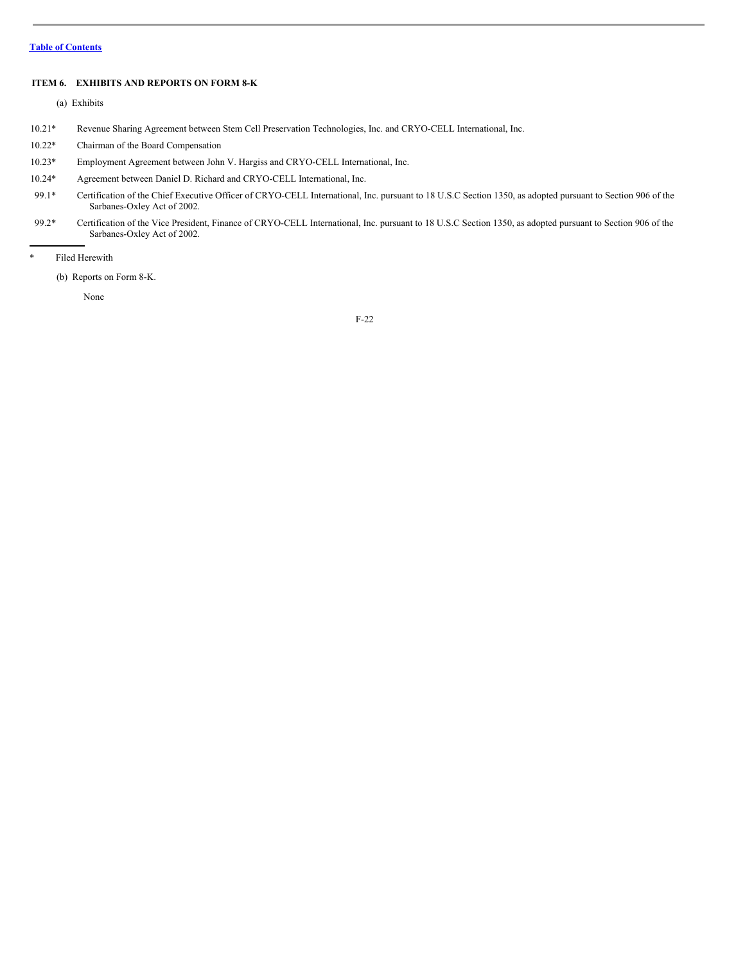## <span id="page-21-0"></span>**ITEM 6. EXHIBITS AND REPORTS ON FORM 8-K**

(a) Exhibits

- 10.21\* Revenue Sharing Agreement between Stem Cell Preservation Technologies, Inc. and CRYO-CELL International, Inc.
- 10.22\* Chairman of the Board Compensation
- 10.23\* Employment Agreement between John V. Hargiss and CRYO-CELL International, Inc.
- 10.24\* Agreement between Daniel D. Richard and CRYO-CELL International, Inc.
- 99.1\* Certification of the Chief Executive Officer of CRYO-CELL International, Inc. pursuant to 18 U.S.C Section 1350, as adopted pursuant to Section 906 of the Sarbanes-Oxley Act of 2002.
- 99.2\* Certification of the Vice President, Finance of CRYO-CELL International, Inc. pursuant to 18 U.S.C Section 1350, as adopted pursuant to Section 906 of the Sarbanes-Oxley Act of 2002.
- \* Filed Herewith

(b) Reports on Form 8-K.

None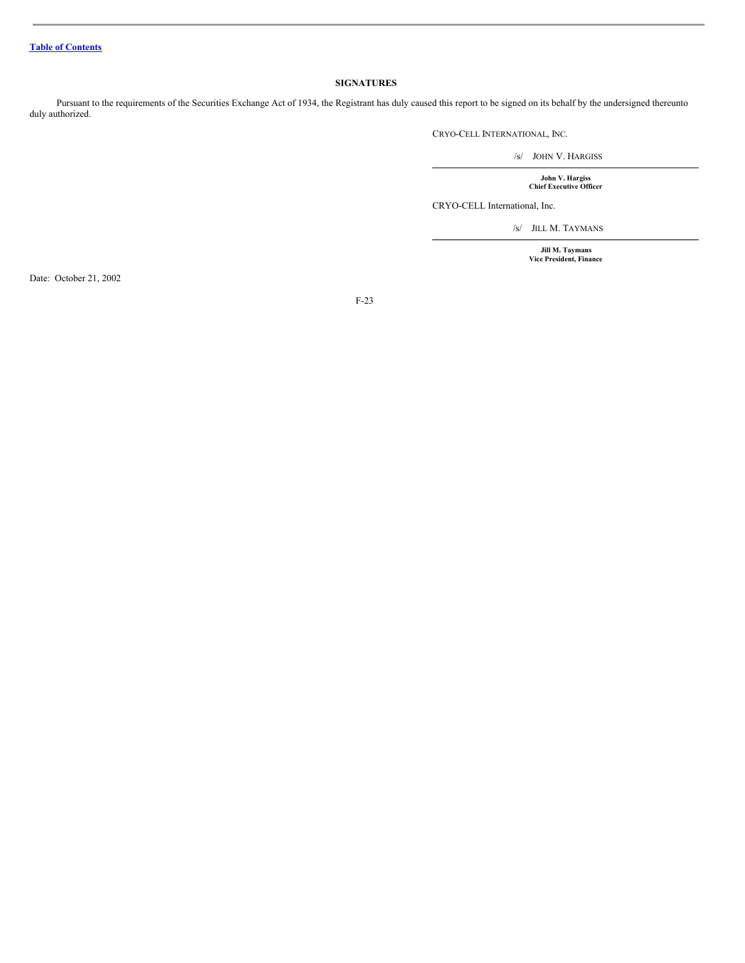# <span id="page-22-0"></span>**SIGNATURES**

Pursuant to the requirements of the Securities Exchange Act of 1934, the Registrant has duly caused this report to be signed on its behalf by the undersigned thereunto duly authorized.

CRYO-CELL INTERNATIONAL, INC.

/s/ JOHN V. HARGISS

**John V. Hargiss Chief Executive Officer**

CRYO-CELL International, Inc.

/s/ JILL M. TAYMANS

**Jill M. Taymans Vice President, Finance**

Date: October 21, 2002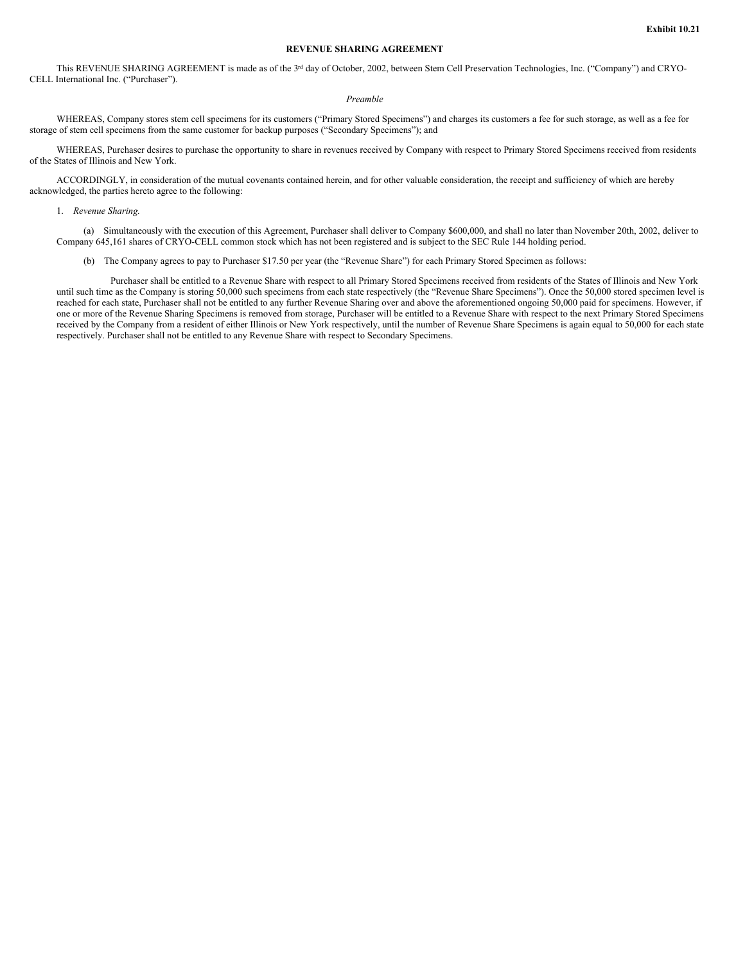## **REVENUE SHARING AGREEMENT**

This REVENUE SHARING AGREEMENT is made as of the 3<sup>rd</sup> day of October, 2002, between Stem Cell Preservation Technologies, Inc. ("Company") and CRYO-CELL International Inc. ("Purchaser").

# *Preamble*

WHEREAS, Company stores stem cell specimens for its customers ("Primary Stored Specimens") and charges its customers a fee for such storage, as well as a fee for storage of stem cell specimens from the same customer for backup purposes ("Secondary Specimens"); and

WHEREAS, Purchaser desires to purchase the opportunity to share in revenues received by Company with respect to Primary Stored Specimens received from residents of the States of Illinois and New York.

ACCORDINGLY, in consideration of the mutual covenants contained herein, and for other valuable consideration, the receipt and sufficiency of which are hereby acknowledged, the parties hereto agree to the following:

1. *Revenue Sharing.*

(a) Simultaneously with the execution of this Agreement, Purchaser shall deliver to Company \$600,000, and shall no later than November 20th, 2002, deliver to Company 645,161 shares of CRYO-CELL common stock which has not been registered and is subject to the SEC Rule 144 holding period.

(b) The Company agrees to pay to Purchaser \$17.50 per year (the "Revenue Share") for each Primary Stored Specimen as follows:

Purchaser shall be entitled to a Revenue Share with respect to all Primary Stored Specimens received from residents of the States of Illinois and New York until such time as the Company is storing 50,000 such specimens from each state respectively (the "Revenue Share Specimens"). Once the 50,000 stored specimen level is reached for each state, Purchaser shall not be entitled to any further Revenue Sharing over and above the aforementioned ongoing 50,000 paid for specimens. However, if one or more of the Revenue Sharing Specimens is removed from storage, Purchaser will be entitled to a Revenue Share with respect to the next Primary Stored Specimens received by the Company from a resident of either Illinois or New York respectively, until the number of Revenue Share Specimens is again equal to 50,000 for each state respectively. Purchaser shall not be entitled to any Revenue Share with respect to Secondary Specimens.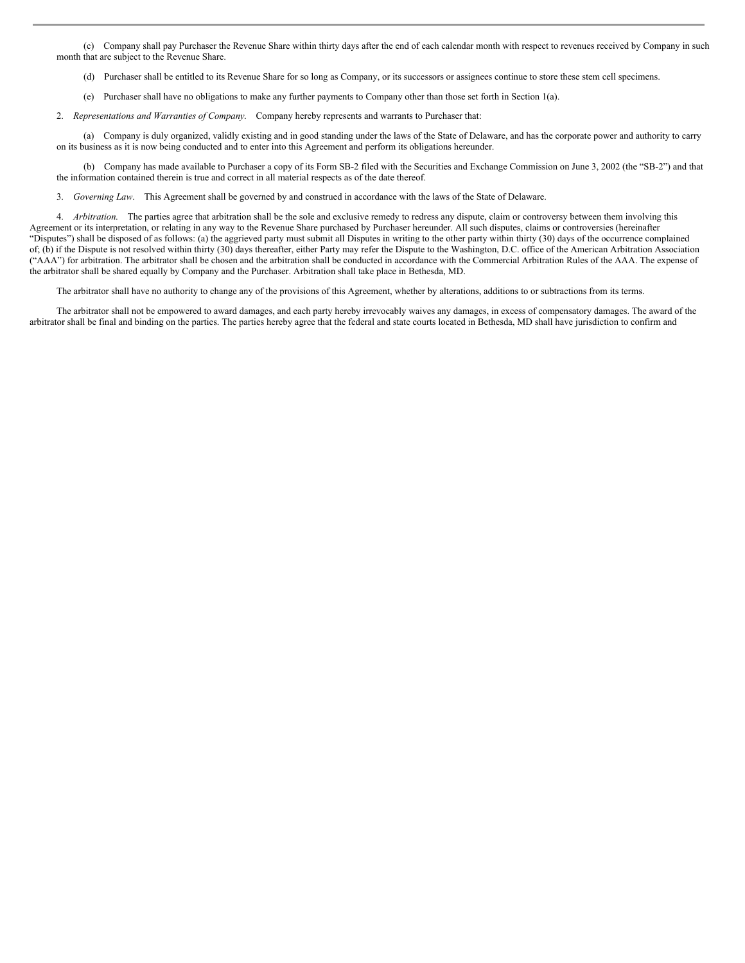(c) Company shall pay Purchaser the Revenue Share within thirty days after the end of each calendar month with respect to revenues received by Company in such month that are subject to the Revenue Share.

(d) Purchaser shall be entitled to its Revenue Share for so long as Company, or its successors or assignees continue to store these stem cell specimens.

(e) Purchaser shall have no obligations to make any further payments to Company other than those set forth in Section 1(a).

2. *Representations and Warranties of Company*. Company hereby represents and warrants to Purchaser that:

(a) Company is duly organized, validly existing and in good standing under the laws of the State of Delaware, and has the corporate power and authority to carry on its business as it is now being conducted and to enter into this Agreement and perform its obligations hereunder.

(b) Company has made available to Purchaser a copy of its Form SB-2 filed with the Securities and Exchange Commission on June 3, 2002 (the "SB-2") and that the information contained therein is true and correct in all material respects as of the date thereof.

3. *Governing Law*. This Agreement shall be governed by and construed in accordance with the laws of the State of Delaware.

4. *Arbitration*. The parties agree that arbitration shall be the sole and exclusive remedy to redress any dispute, claim or controversy between them involving this Agreement or its interpretation, or relating in any way to the Revenue Share purchased by Purchaser hereunder. All such disputes, claims or controversies (hereinafter "Disputes") shall be disposed of as follows: (a) the aggrieved party must submit all Disputes in writing to the other party within thirty (30) days of the occurrence complained of; (b) if the Dispute is not resolved within thirty (30) days thereafter, either Party may refer the Dispute to the Washington, D.C. office of the American Arbitration Association ("AAA") for arbitration. The arbitrator shall be chosen and the arbitration shall be conducted in accordance with the Commercial Arbitration Rules of the AAA. The expense of the arbitrator shall be shared equally by Company and the Purchaser. Arbitration shall take place in Bethesda, MD.

The arbitrator shall have no authority to change any of the provisions of this Agreement, whether by alterations, additions to or subtractions from its terms.

The arbitrator shall not be empowered to award damages, and each party hereby irrevocably waives any damages, in excess of compensatory damages. The award of the arbitrator shall be final and binding on the parties. The parties hereby agree that the federal and state courts located in Bethesda, MD shall have jurisdiction to confirm and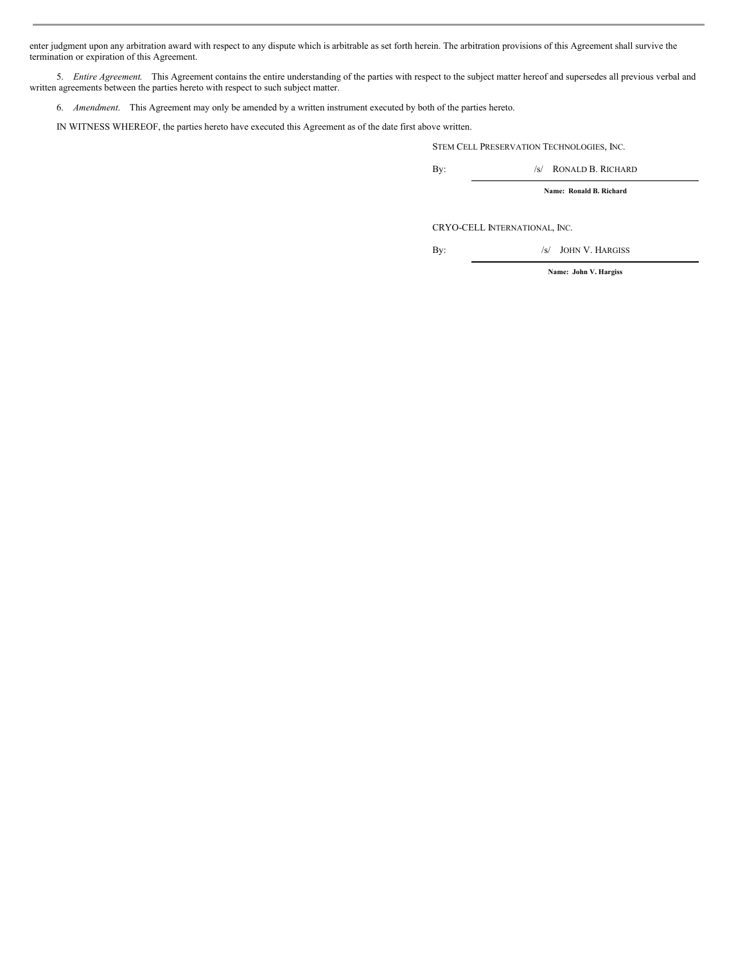enter judgment upon any arbitration award with respect to any dispute which is arbitrable as set forth herein. The arbitration provisions of this Agreement shall survive the termination or expiration of this Agreement.

5. *Entire Agreement*. This Agreement contains the entire understanding of the parties with respect to the subject matter hereof and supersedes all previous verbal and written agreements between the parties hereto with respect to such subject matter.

6. *Amendment*. This Agreement may only be amended by a written instrument executed by both of the parties hereto.

IN WITNESS WHEREOF, the parties hereto have executed this Agreement as of the date first above written.

STEM CELL PRESERVATION TECHNOLOGIES, INC.

By: /s/ RONALD B. RICHARD

**Name: Ronald B. Richard**

CRYO-CELL INTERNATIONAL, INC.

By: /s/ JOHN V. HARGISS

**Name: John V. Hargiss**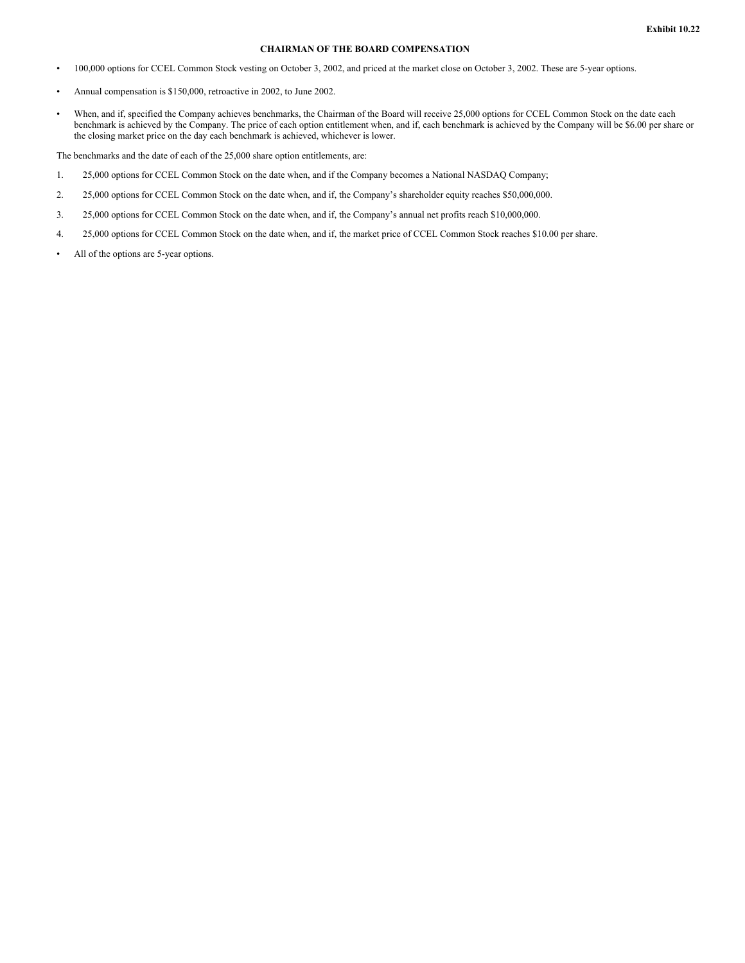# **CHAIRMAN OF THE BOARD COMPENSATION**

- 100,000 options for CCEL Common Stock vesting on October 3, 2002, and priced at the market close on October 3, 2002. These are 5-year options.
- Annual compensation is \$150,000, retroactive in 2002, to June 2002.
- When, and if, specified the Company achieves benchmarks, the Chairman of the Board will receive 25,000 options for CCEL Common Stock on the date each benchmark is achieved by the Company. The price of each option entitlement when, and if, each benchmark is achieved by the Company will be \$6.00 per share or the closing market price on the day each benchmark is achieved, whichever is lower.

The benchmarks and the date of each of the 25,000 share option entitlements, are:

- 1. 25,000 options for CCEL Common Stock on the date when, and if the Company becomes a National NASDAQ Company;
- 2. 25,000 options for CCEL Common Stock on the date when, and if, the Company's shareholder equity reaches \$50,000,000.
- 3. 25,000 options for CCEL Common Stock on the date when, and if, the Company's annual net profits reach \$10,000,000.
- 4. 25,000 options for CCEL Common Stock on the date when, and if, the market price of CCEL Common Stock reaches \$10.00 per share.
- All of the options are 5-year options.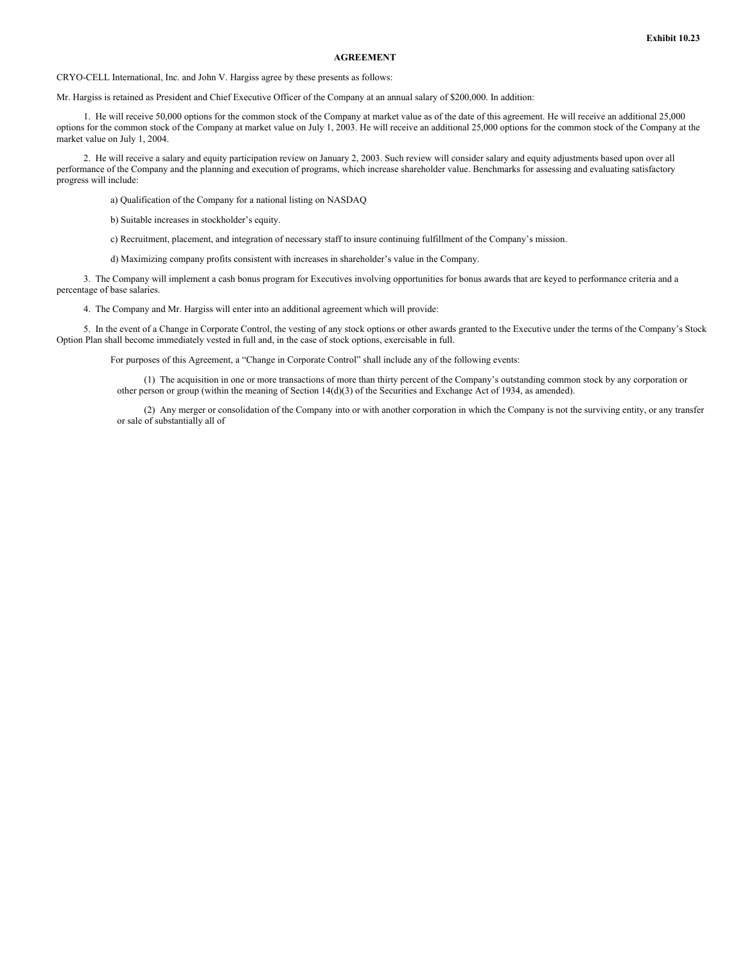# **AGREEMENT**

CRYO-CELL International, Inc. and John V. Hargiss agree by these presents as follows:

Mr. Hargiss is retained as President and Chief Executive Officer of the Company at an annual salary of \$200,000. In addition:

1. He will receive 50,000 options for the common stock of the Company at market value as of the date of this agreement. He will receive an additional 25,000 options for the common stock of the Company at market value on July 1, 2003. He will receive an additional 25,000 options for the common stock of the Company at the market value on July 1, 2004.

2. He will receive a salary and equity participation review on January 2, 2003. Such review will consider salary and equity adjustments based upon over all performance of the Company and the planning and execution of programs, which increase shareholder value. Benchmarks for assessing and evaluating satisfactory progress will include:

a) Qualification of the Company for a national listing on NASDAQ

b) Suitable increases in stockholder's equity.

c) Recruitment, placement, and integration of necessary staff to insure continuing fulfillment of the Company's mission.

d) Maximizing company profits consistent with increases in shareholder's value in the Company.

3. The Company will implement a cash bonus program for Executives involving opportunities for bonus awards that are keyed to performance criteria and a percentage of base salaries.

4. The Company and Mr. Hargiss will enter into an additional agreement which will provide:

5. In the event of a Change in Corporate Control, the vesting of any stock options or other awards granted to the Executive under the terms of the Company's Stock Option Plan shall become immediately vested in full and, in the case of stock options, exercisable in full.

For purposes of this Agreement, a "Change in Corporate Control" shall include any of the following events:

(1) The acquisition in one or more transactions of more than thirty percent of the Company's outstanding common stock by any corporation or other person or group (within the meaning of Section 14(d)(3) of the Securities and Exchange Act of 1934, as amended).

(2) Any merger or consolidation of the Company into or with another corporation in which the Company is not the surviving entity, or any transfer or sale of substantially all of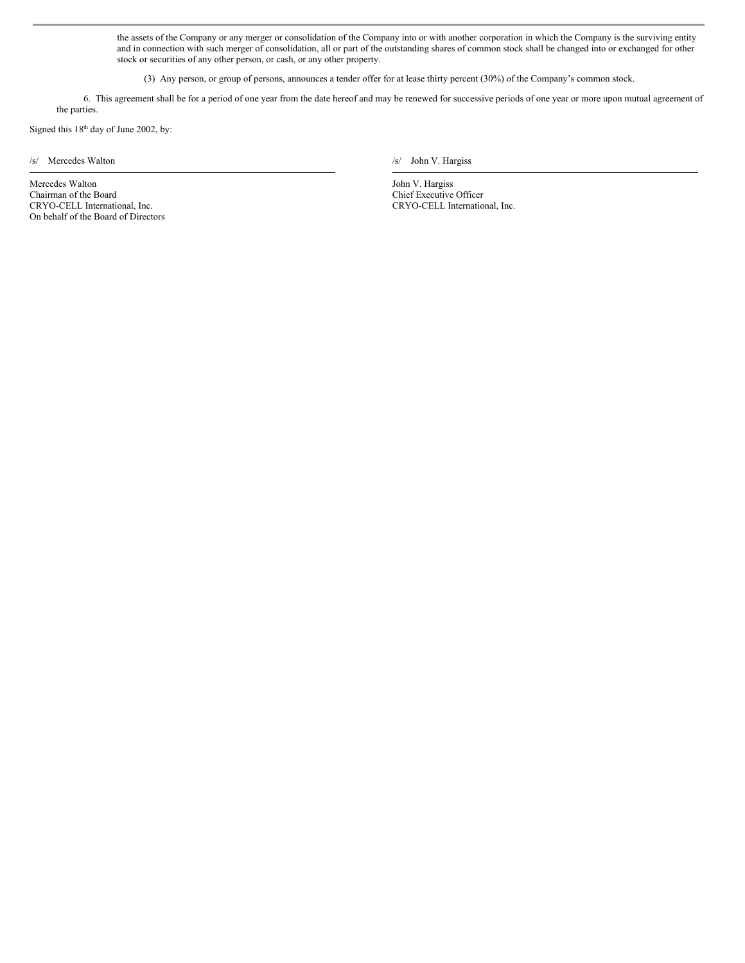the assets of the Company or any merger or consolidation of the Company into or with another corporation in which the Company is the surviving entity and in connection with such merger of consolidation, all or part of the outstanding shares of common stock shall be changed into or exchanged for other stock or securities of any other person, or cash, or any other property.

(3) Any person, or group of persons, announces a tender offer for at lease thirty percent (30%) of the Company's common stock.

6. This agreement shall be for a period of one year from the date hereof and may be renewed for successive periods of one year or more upon mutual agreement of the parties.

Signed this 18<sup>th</sup> day of June 2002, by:

 $/$ s/ Mercedes Walton */s/* John V. Hargiss

Mercedes Walton Chairman of the Board CRYO-CELL International, Inc. On behalf of the Board of Directors

John V. Hargiss Chief Executive Officer CRYO-CELL International, Inc.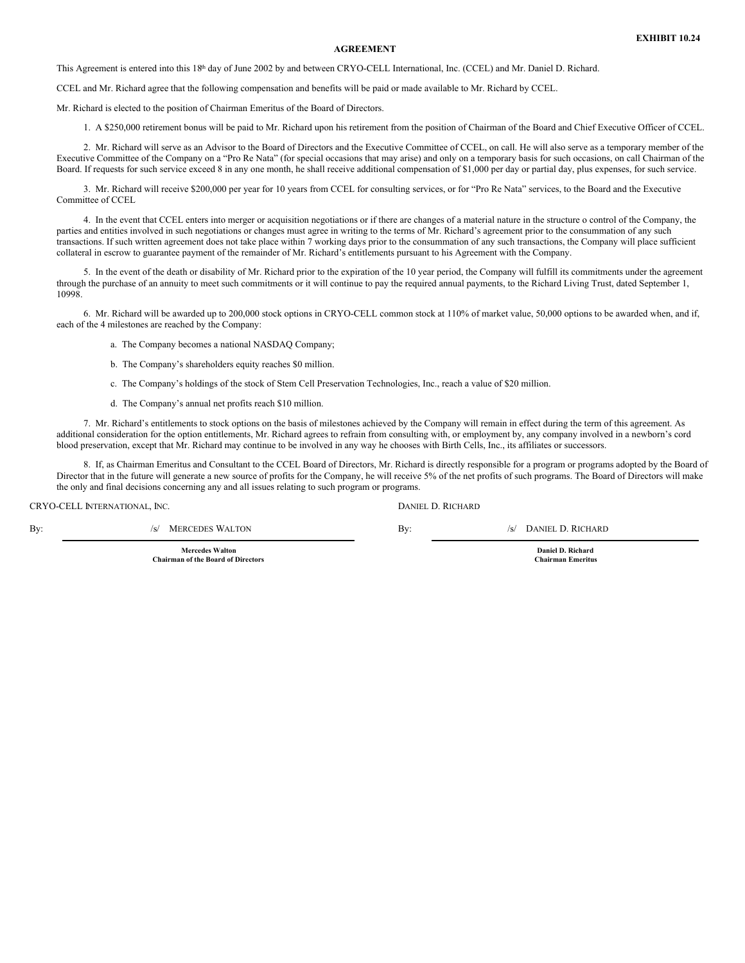## **AGREEMENT**

This Agreement is entered into this 18<sup>th</sup> day of June 2002 by and between CRYO-CELL International, Inc. (CCEL) and Mr. Daniel D. Richard.

CCEL and Mr. Richard agree that the following compensation and benefits will be paid or made available to Mr. Richard by CCEL.

Mr. Richard is elected to the position of Chairman Emeritus of the Board of Directors.

1. A \$250,000 retirement bonus will be paid to Mr. Richard upon his retirement from the position of Chairman of the Board and Chief Executive Officer of CCEL.

2. Mr. Richard will serve as an Advisor to the Board of Directors and the Executive Committee of CCEL, on call. He will also serve as a temporary member of the Executive Committee of the Company on a "Pro Re Nata" (for special occasions that may arise) and only on a temporary basis for such occasions, on call Chairman of the Board. If requests for such service exceed 8 in any one month, he shall receive additional compensation of \$1,000 per day or partial day, plus expenses, for such service.

3. Mr. Richard will receive \$200,000 per year for 10 years from CCEL for consulting services, or for "Pro Re Nata" services, to the Board and the Executive Committee of CCEL

4. In the event that CCEL enters into merger or acquisition negotiations or if there are changes of a material nature in the structure o control of the Company, the parties and entities involved in such negotiations or changes must agree in writing to the terms of Mr. Richard's agreement prior to the consummation of any such transactions. If such written agreement does not take place within 7 working days prior to the consummation of any such transactions, the Company will place sufficient collateral in escrow to guarantee payment of the remainder of Mr. Richard's entitlements pursuant to his Agreement with the Company.

5. In the event of the death or disability of Mr. Richard prior to the expiration of the 10 year period, the Company will fulfill its commitments under the agreement through the purchase of an annuity to meet such commitments or it will continue to pay the required annual payments, to the Richard Living Trust, dated September 1, 10998.

6. Mr. Richard will be awarded up to 200,000 stock options in CRYO-CELL common stock at 110% of market value, 50,000 options to be awarded when, and if, each of the 4 milestones are reached by the Company:

a. The Company becomes a national NASDAQ Company;

- b. The Company's shareholders equity reaches \$0 million.
- c. The Company's holdings of the stock of Stem Cell Preservation Technologies, Inc., reach a value of \$20 million.
- d. The Company's annual net profits reach \$10 million.

7. Mr. Richard's entitlements to stock options on the basis of milestones achieved by the Company will remain in effect during the term of this agreement. As additional consideration for the option entitlements, Mr. Richard agrees to refrain from consulting with, or employment by, any company involved in a newborn's cord blood preservation, except that Mr. Richard may continue to be involved in any way he chooses with Birth Cells, Inc., its affiliates or successors.

8. If, as Chairman Emeritus and Consultant to the CCEL Board of Directors, Mr. Richard is directly responsible for a program or programs adopted by the Board of Director that in the future will generate a new source of profits for the Company, he will receive 5% of the net profits of such programs. The Board of Directors will make the only and final decisions concerning any and all issues relating to such program or programs.

| By:<br>/s/ MERCEDES WALTON<br>By: | /s/ DANIEL D. RICHARD |
|-----------------------------------|-----------------------|

**Mercedes Walton Chairman of the Board of Directors**

**Daniel D. Richard Chairman Emeritus**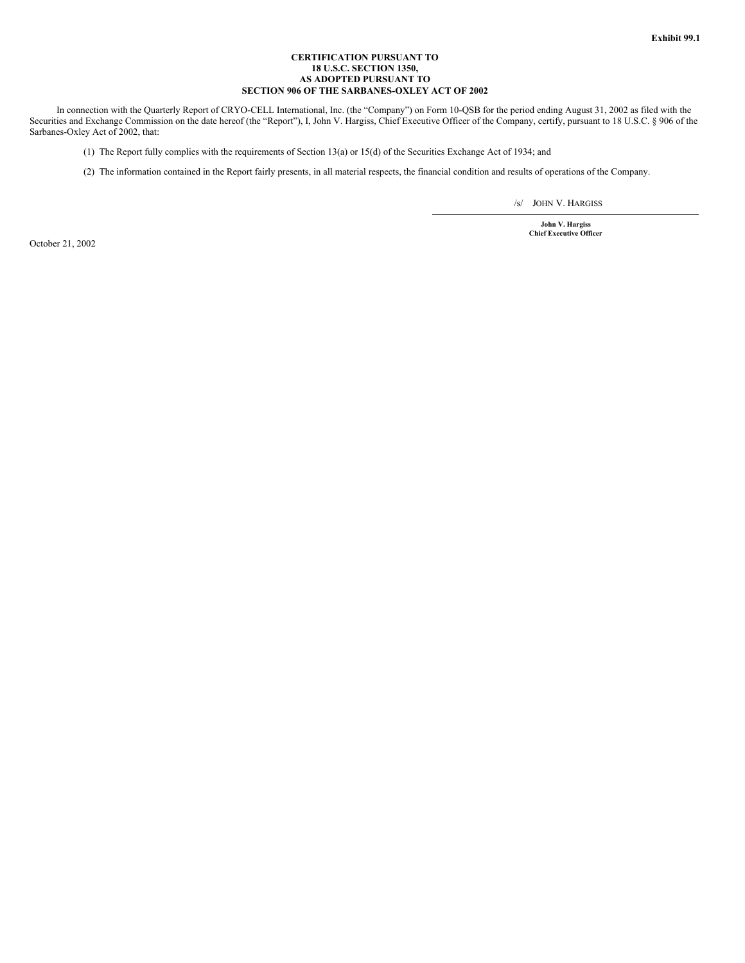## **CERTIFICATION PURSUANT TO 18 U.S.C. SECTION 1350, AS ADOPTED PURSUANT TO SECTION 906 OF THE SARBANES-OXLEY ACT OF 2002**

In connection with the Quarterly Report of CRYO-CELL International, Inc. (the "Company") on Form 10-QSB for the period ending August 31, 2002 as filed with the Securities and Exchange Commission on the date hereof (the "Report"), I, John V. Hargiss, Chief Executive Officer of the Company, certify, pursuant to 18 U.S.C. § 906 of the Sarbanes-Oxley Act of 2002, that:

(1) The Report fully complies with the requirements of Section 13(a) or 15(d) of the Securities Exchange Act of 1934; and

(2) The information contained in the Report fairly presents, in all material respects, the financial condition and results of operations of the Company.

/s/ JOHN V. HARGISS

**John V. Hargiss Chief Executive Officer**

October 21, 2002